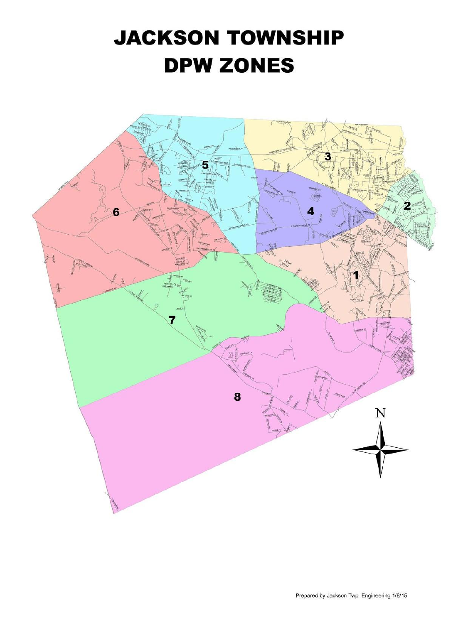## **JACKSON TOWNSHIP DPW ZONES**

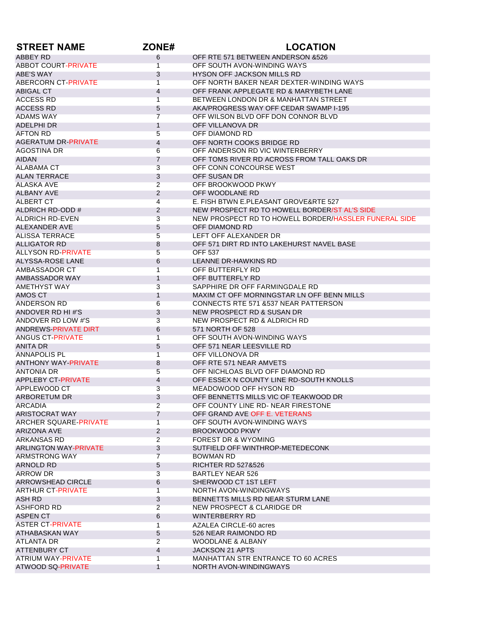| <b>STREET NAME</b>                | ZONE#                            | <b>LOCATION</b>                                                            |
|-----------------------------------|----------------------------------|----------------------------------------------------------------------------|
| ABBEY RD                          | 6                                | OFF RTE 571 BETWEEN ANDERSON & 526                                         |
| <b>ABBOT COURT-PRIVATE</b>        | 1                                | OFF SOUTH AVON-WINDING WAYS                                                |
| ABE'S WAY                         | 3                                | <b>HYSON OFF JACKSON MILLS RD</b>                                          |
| ABERCORN CT-PRIVATE               | 1                                | OFF NORTH BAKER NEAR DEXTER-WINDING WAYS                                   |
| <b>ABIGAL CT</b>                  | 4                                | OFF FRANK APPLEGATE RD & MARYBETH LANE                                     |
| <b>ACCESS RD</b>                  | $\overline{1}$                   | BETWEEN LONDON DR & MANHATTAN STREET                                       |
| <b>ACCESS RD</b>                  | 5                                | AKA/PROGRESS WAY OFF CEDAR SWAMP I-195                                     |
| <b>ADAMS WAY</b>                  | $\overline{7}$                   | OFF WILSON BLVD OFF DON CONNOR BLVD                                        |
| ADELPHI DR                        | $\mathbf{1}$                     | OFF VILLANOVA DR                                                           |
| <b>AFTON RD</b>                   | 5                                | OFF DIAMOND RD                                                             |
| AGERATUM DR-PRIVATE               | $\overline{4}$                   | OFF NORTH COOKS BRIDGE RD                                                  |
| AGOSTINA DR                       | 6                                | OFF ANDERSON RD VIC WINTERBERRY                                            |
| <b>AIDAN</b>                      | 7                                | OFF TOMS RIVER RD ACROSS FROM TALL OAKS DR                                 |
| ALABAMA CT                        | 3                                | OFF CONN CONCOURSE WEST                                                    |
| <b>ALAN TERRACE</b>               | 3                                | OFF SUSAN DR                                                               |
| <b>ALASKA AVE</b>                 | $\overline{2}$                   | OFF BROOKWOOD PKWY                                                         |
| <b>ALBANY AVE</b>                 | 2                                | OFF WOODLANE RD                                                            |
| <b>ALBERT CT</b>                  | 4                                | E. FISH BTWN E.PLEASANT GROVE&RTE 527                                      |
| ALDRICH RD-ODD #                  | $\overline{2}$                   | NEW PROSPECT RD TO HOWELL BORDER/ST AL'S SIDE                              |
| ALDRICH RD-EVEN                   | 3                                | NEW PROSPECT RD TO HOWELL BORDER/HASSLER FUNERAL SIDE                      |
| ALEXANDER AVE                     | 5                                | OFF DIAMOND RD                                                             |
| <b>ALISSA TERRACE</b>             | 5                                | LEFT OFF ALEXANDER DR                                                      |
| <b>ALLIGATOR RD</b>               | 8                                | OFF 571 DIRT RD INTO LAKEHURST NAVEL BASE                                  |
| ALLYSON RD-PRIVATE                | 5                                | <b>OFF 537</b>                                                             |
| ALYSSA-ROSE LANE                  | 6                                | <b>LEANNE DR-HAWKINS RD</b>                                                |
| AMBASSADOR CT                     | $\overline{1}$                   | OFF BUTTERFLY RD                                                           |
| AMBASSADOR WAY                    | $\mathbf{1}$                     | OFF BUTTERFLY RD                                                           |
| AMETHYST WAY                      | 3                                | SAPPHIRE DR OFF FARMINGDALE RD                                             |
| AMOS CT                           | $\mathbf{1}$                     | MAXIM CT OFF MORNINGSTAR LN OFF BENN MILLS                                 |
| ANDERSON RD                       | 6                                | CONNECTS RTE 571 & 537 NEAR PATTERSON                                      |
| ANDOVER RD HI#'S                  | 3                                | NEW PROSPECT RD & SUSAN DR                                                 |
| ANDOVER RD LOW #'S                | 3                                | NEW PROSPECT RD & ALDRICH RD                                               |
| ANDREWS-PRIVATE DIRT              | 6                                | 571 NORTH OF 528                                                           |
| ANGUS CT-PRIVATE                  | 1                                | OFF SOUTH AVON-WINDING WAYS                                                |
| <b>ANITA DR</b>                   | 5                                | OFF 571 NEAR LEESVILLE RD                                                  |
| ANNAPOLIS PL                      | $\overline{1}$                   | OFF VILLONOVA DR                                                           |
| <b>ANTHONY WAY-PRIVATE</b>        | 8                                | OFF RTE 571 NEAR AMVETS                                                    |
| <b>ANTONIA DR</b>                 | 5                                | OFF NICHLOAS BLVD OFF DIAMOND RD                                           |
| APPLEBY CT-PRIVATE                | 4                                | OFF ESSEX N COUNTY LINE RD-SOUTH KNOLLS                                    |
| APPLEWOOD CT                      | 3                                | MEADOWOOD OFF HYSON RD                                                     |
|                                   |                                  |                                                                            |
| ARBORETUM DR<br>ARCADIA           | 3<br>$\overline{2}$              | OFF BENNETTS MILLS VIC OF TEAKWOOD DR<br>OFF COUNTY LINE RD-NEAR FIRESTONE |
| ARISTOCRAT WAY                    | $\overline{7}$                   | OFF GRAND AVE OFF E. VETERANS                                              |
| ARCHER SQUARE-PRIVATE             | 1                                | OFF SOUTH AVON-WINDING WAYS                                                |
|                                   |                                  |                                                                            |
| ARIZONA AVE<br><b>ARKANSAS RD</b> | $\overline{2}$<br>$\overline{2}$ | BROOKWOOD PKWY<br><b>FOREST DR &amp; WYOMING</b>                           |
| ARLINGTON WAY-PRIVATE             | 3                                | SUTFIELD OFF WINTHROP-METEDECONK                                           |
|                                   | $\overline{7}$                   |                                                                            |
| ARMSTRONG WAY                     |                                  | BOWMAN RD                                                                  |
| ARNOLD RD                         | 5                                | <b>RICHTER RD 527&amp;526</b>                                              |
| ARROW DR                          | 3                                | <b>BARTLEY NEAR 526</b>                                                    |
| ARROWSHEAD CIRCLE                 | 6                                | SHERWOOD CT 1ST LEFT                                                       |
| <b>ARTHUR CT-PRIVATE</b>          | $\mathbf{1}$                     | NORTH AVON-WINDINGWAYS                                                     |
| ASH RD                            | 3                                | BENNETTS MILLS RD NEAR STURM LANE                                          |
| <b>ASHFORD RD</b>                 | $\overline{2}$                   | NEW PROSPECT & CLARIDGE DR                                                 |
| ASPEN CT                          | 6                                | WINTERBERRY RD                                                             |
| <b>ASTER CT-PRIVATE</b>           | 1                                | AZALEA CIRCLE-60 acres                                                     |
| ATHABASKAN WAY                    | 5                                | 526 NEAR RAIMONDO RD                                                       |
| <b>ATLANTA DR</b>                 | $\overline{2}$                   | <b>WOODLANE &amp; ALBANY</b>                                               |
| <b>ATTENBURY CT</b>               | $\overline{4}$                   | JACKSON 21 APTS                                                            |
| <b>ATRIUM WAY-PRIVATE</b>         | 1                                | <b>MANHATTAN STR ENTRANCE TO 60 ACRES</b>                                  |
| ATWOOD SQ-PRIVATE                 | $\mathbf{1}$                     | NORTH AVON-WINDINGWAYS                                                     |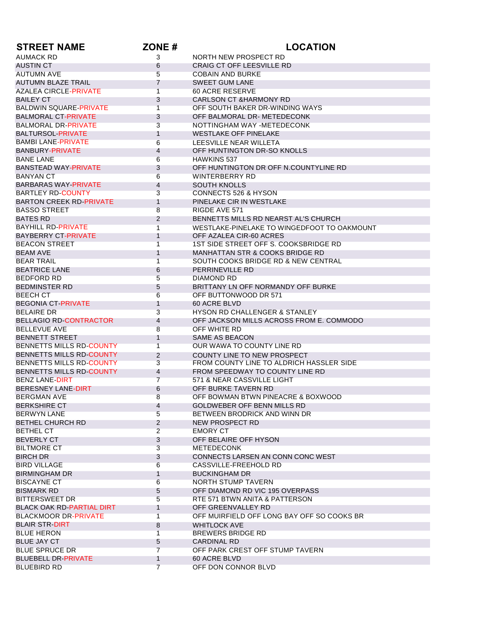| <b>STREET NAME</b>               | ZONE#             | <b>LOCATION</b>                             |
|----------------------------------|-------------------|---------------------------------------------|
| <b>AUMACK RD</b>                 | 3                 | NORTH NEW PROSPECT RD                       |
| <b>AUSTIN CT</b>                 | 6                 | <b>CRAIG CT OFF LEESVILLE RD</b>            |
| <b>AUTUMN AVE</b>                | 5                 | <b>COBAIN AND BURKE</b>                     |
| <b>AUTUMN BLAZE TRAIL</b>        | $\overline{7}$    | <b>SWEET GUM LANE</b>                       |
| <b>AZALEA CIRCLE-PRIVATE</b>     | $\mathbf{1}$      | <b>60 ACRE RESERVE</b>                      |
| <b>BAILEY CT</b>                 | 3                 | <b>CARLSON CT &amp;HARMONY RD</b>           |
| <b>BALDWIN SQUARE-PRIVATE</b>    | $\mathbf{1}$      | OFF SOUTH BAKER DR-WINDING WAYS             |
| <b>BALMORAL CT-PRIVATE</b>       | 3                 | OFF BALMORAL DR- METEDECONK                 |
| <b>BALMORAL DR-PRIVATE</b>       | 3                 | NOTTINGHAM WAY -METEDECONK                  |
| <b>BALTURSOL-PRIVATE</b>         | $\mathbf{1}$      | <b>WESTLAKE OFF PINELAKE</b>                |
| <b>BAMBI LANE-PRIVATE</b>        |                   | LEESVILLE NEAR WILLETA                      |
| BANBURY-PRIVATE                  | 6<br>4            | OFF HUNTINGTON DR-SO KNOLLS                 |
| <b>BANE LANE</b>                 | 6                 | <b>HAWKINS 537</b>                          |
| <b>BANSTEAD WAY-PRIVATE</b>      | 3                 | OFF HUNTINGTON DR OFF N.COUNTYLINE RD       |
| <b>BANYAN CT</b>                 | 6                 | <b>WINTERBERRY RD</b>                       |
|                                  |                   |                                             |
| <b>BARBARAS WAY-PRIVATE</b>      | $\overline{4}$    | <b>SOUTH KNOLLS</b>                         |
| <b>BARTLEY RD-COUNTY</b>         | 3                 | <b>CONNECTS 526 &amp; HYSON</b>             |
| <b>BARTON CREEK RD-PRIVATE</b>   | $\mathbf{1}$      | PINELAKE CIR IN WESTLAKE                    |
| <b>BASSO STREET</b>              | 8                 | RIGDE AVE 571                               |
| <b>BATES RD</b>                  | 2                 | BENNETTS MILLS RD NEARST AL'S CHURCH        |
| <b>BAYHILL RD-PRIVATE</b>        | 1                 | WESTLAKE-PINELAKE TO WINGEDFOOT TO OAKMOUNT |
| <b>BAYBERRY CT-PRIVATE</b>       | $\mathbf{1}$      | OFF AZALEA CIR-60 ACRES                     |
| <b>BEACON STREET</b>             | 1                 | 1ST SIDE STREET OFF S. COOKSBRIDGE RD       |
| <b>BEAM AVE</b>                  | $\mathbf{1}$      | <b>MANHATTAN STR &amp; COOKS BRIDGE RD</b>  |
| <b>BEAR TRAIL</b>                | $\overline{1}$    | SOUTH COOKS BRIDGE RD & NEW CENTRAL         |
| <b>BEATRICE LANE</b>             | 6                 | PERRINEVILLE RD                             |
| <b>BEDFORD RD</b>                | 5                 | <b>DIAMOND RD</b>                           |
| <b>BEDMINSTER RD</b>             | 5                 | BRITTANY LN OFF NORMANDY OFF BURKE          |
| <b>BEECH CT</b>                  | 6                 | OFF BUTTONWOOD DR 571                       |
| <b>BEGONIA CT-PRIVATE</b>        | $\mathbf{1}$      | 60 ACRE BLVD                                |
| <b>BELAIRE DR</b>                | 3                 | HYSON RD CHALLENGER & STANLEY               |
| <b>BELLAGIO RD-CONTRACTOR</b>    | 4                 | OFF JACKSON MILLS ACROSS FROM E. COMMODO    |
| <b>BELLEVUE AVE</b>              | 8                 | OFF WHITE RD                                |
| <b>BENNETT STREET</b>            | $\mathbf{1}$      | SAME AS BEACON                              |
| BENNETTS MILLS RD-COUNTY         | $\mathbf{1}$      | OUR WAWA TO COUNTY LINE RD                  |
| BENNETTS MILLS RD-COUNTY         | $\overline{2}$    | COUNTY LINE TO NEW PROSPECT                 |
| BENNETTS MILLS RD-COUNTY         | 3                 | FROM COUNTY LINE TO ALDRICH HASSLER SIDE    |
| BENNETTS MILLS RD-COUNTY         | 4                 | FROM SPEEDWAY TO COUNTY LINE RD             |
| <b>BENZ LANE-DIRT</b>            | $\overline{7}$    | 571 & NEAR CASSVILLE LIGHT                  |
| <b>BERESNEY LANE-DIRT</b>        | 6                 | OFF BURKE TAVERN RD                         |
| BERGMAN AVE                      | 8                 | OFF BOWMAN BTWN PINEACRE & BOXWOOD          |
| <b>BERKSHIRE CT</b>              | 4                 | GOLDWEBER OFF BENN MILLS RD                 |
| <b>BERWYN LANE</b>               | $5\overline{)}$   | BETWEEN BRODRICK AND WINN DR                |
| BETHEL CHURCH RD                 | $\overline{2}$    | NEW PROSPECT RD                             |
| <b>BETHEL CT</b>                 | $\overline{2}$    | <b>EMORY CT</b>                             |
| <b>BEVERLY CT</b>                | 3                 | OFF BELAIRE OFF HYSON                       |
| <b>BILTMORE CT</b>               | $\overline{3}$    | METEDECONK                                  |
| <b>BIRCH DR</b>                  | 3                 | CONNECTS LARSEN AN CONN CONC WEST           |
| <b>BIRD VILLAGE</b>              | 6                 | CASSVILLE-FREEHOLD RD                       |
| <b>BIRMINGHAM DR</b>             |                   | <b>BUCKINGHAM DR</b>                        |
|                                  | $\mathbf{1}$<br>6 | <b>NORTH STUMP TAVERN</b>                   |
| <b>BISCAYNE CT</b>               |                   |                                             |
| <b>BISMARK RD</b>                | 5                 | OFF DIAMOND RD VIC 195 OVERPASS             |
| <b>BITTERSWEET DR</b>            | $5\phantom{.0}$   | RTE 571 BTWN ANITA & PATTERSON              |
| <b>BLACK OAK RD-PARTIAL DIRT</b> | $\mathbf{1}$      | OFF GREENVALLEY RD                          |
| <b>BLACKMOOR DR-PRIVATE</b>      | $\overline{1}$    | OFF MUIRFIELD OFF LONG BAY OFF SO COOKS BR  |
| <b>BLAIR STR-DIRT</b>            | 8                 | <b>WHITLOCK AVE</b>                         |
| <b>BLUE HERON</b>                | 1                 | <b>BREWERS BRIDGE RD</b>                    |
| <b>BLUE JAY CT</b>               | 5                 | CARDINAL RD                                 |
| <b>BLUE SPRUCE DR</b>            | $\overline{7}$    | OFF PARK CREST OFF STUMP TAVERN             |
| <b>BLUEBELL DR-PRIVATE</b>       | $\mathbf{1}$      | 60 ACRE BLVD                                |
| <b>BLUEBIRD RD</b>               | $\overline{7}$    | OFF DON CONNOR BLVD                         |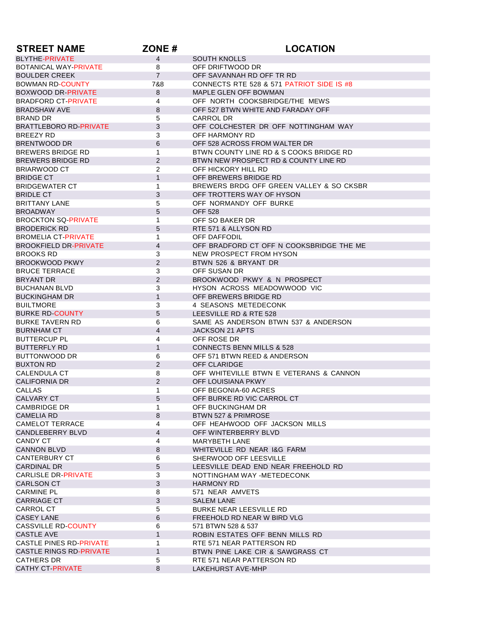| <b>STREET NAME</b>                  | ZONE#               | <b>LOCATION</b>                                       |
|-------------------------------------|---------------------|-------------------------------------------------------|
| <b>BLYTHE-PRIVATE</b>               | $\overline{4}$      | <b>SOUTH KNOLLS</b>                                   |
| <b>BOTANICAL WAY-PRIVATE</b>        | 8                   | OFF DRIFTWOOD DR                                      |
| <b>BOULDER CREEK</b>                | $\overline{7}$      | OFF SAVANNAH RD OFF TR RD                             |
| <b>BOWMAN RD-COUNTY</b>             | 7&8                 | CONNECTS RTE 528 & 571 PATRIOT SIDE IS #8             |
| <b>BOXWOOD DR-PRIVATE</b>           | 8                   | MAPLE GLEN OFF BOWMAN                                 |
| <b>BRADFORD CT-PRIVATE</b>          | 4                   | OFF NORTH COOKSBRIDGE/THE MEWS                        |
| <b>BRADSHAW AVE</b>                 | 8                   | OFF 527 BTWN WHITE AND FARADAY OFF                    |
| <b>BRAND DR</b>                     | 5                   | CARROL DR                                             |
| <b>BRATTLEBORO RD-PRIVATE</b>       | $\mathbf{3}$        | OFF COLCHESTER DR OFF NOTTINGHAM WAY                  |
| <b>BREEZY RD</b>                    | 3                   | OFF HARMONY RD                                        |
| <b>BRENTWOOD DR</b>                 | 6                   | OFF 528 ACROSS FROM WALTER DR                         |
| <b>BREWERS BRIDGE RD</b>            | $\mathbf{1}$        | BTWN COUNTY LINE RD & S COOKS BRIDGE RD               |
| <b>BREWERS BRIDGE RD</b>            | $\mathbf{2}$        | BTWN NEW PROSPECT RD & COUNTY LINE RD                 |
| <b>BRIARWOOD CT</b>                 | 2                   | OFF HICKORY HILL RD                                   |
| <b>BRIDGE CT</b>                    | $\mathbf{1}$        | OFF BREWERS BRIDGE RD                                 |
| <b>BRIDGEWATER CT</b>               | $\mathbf{1}$        | BREWERS BRDG OFF GREEN VALLEY & SO CKSBR              |
| <b>BRIDLE CT</b>                    | 3                   | OFF TROTTERS WAY OF HYSON                             |
| <b>BRITTANY LANE</b>                | 5                   | OFF NORMANDY OFF BURKE                                |
| <b>BROADWAY</b>                     | 5                   | <b>OFF 528</b>                                        |
| <b>BROCKTON SQ-PRIVATE</b>          | 1                   | OFF SO BAKER DR                                       |
| <b>BRODERICK RD</b>                 | 5                   | RTE 571 & ALLYSON RD                                  |
| <b>BROMELIA CT-PRIVATE</b>          | $\mathbf 1$         | OFF DAFFODIL                                          |
| <b>BROOKFIELD DR-PRIVATE</b>        | $\overline{4}$      | OFF BRADFORD CT OFF N COOKSBRIDGE THE ME              |
| <b>BROOKS RD</b>                    | 3                   | NEW PROSPECT FROM HYSON                               |
| <b>BROOKWOOD PKWY</b>               | 2                   | BTWN 526 & BRYANT DR                                  |
| <b>BRUCE TERRACE</b>                | 3                   | OFF SUSAN DR                                          |
| <b>BRYANT DR</b>                    | 2                   | BROOKWOOD PKWY & N PROSPECT                           |
| <b>BUCHANAN BLVD</b>                | 3                   | HYSON ACROSS MEADOWWOOD VIC                           |
| <b>BUCKINGHAM DR</b>                | $\mathbf{1}$        | OFF BREWERS BRIDGE RD                                 |
| <b>BUILTMORE</b>                    | 3                   | 4 SEASONS METEDECONK                                  |
| <b>BURKE RD-COUNTY</b>              | 5                   | LEESVILLE RD & RTE 528                                |
| <b>BURKE TAVERN RD</b>              | 6                   | SAME AS ANDERSON BTWN 537 & ANDERSON                  |
| <b>BURNHAM CT</b>                   | $\overline{4}$      | <b>JACKSON 21 APTS</b>                                |
| <b>BUTTERCUP PL</b>                 | 4                   | OFF ROSE DR                                           |
| <b>BUTTERFLY RD</b>                 | $\mathbf{1}$        | <b>CONNECTS BENN MILLS &amp; 528</b>                  |
| <b>BUTTONWOOD DR</b>                | 6                   | OFF 571 BTWN REED & ANDERSON                          |
| <b>BUXTON RD</b>                    | $\mathbf{2}$        | <b>OFF CLARIDGE</b>                                   |
| <b>CALENDULA CT</b>                 | 8                   | OFF WHITEVILLE BTWN E VETERANS & CANNON               |
| <b>CALIFORNIA DR</b>                | 2                   | OFF LOUISIANA PKWY                                    |
| <b>CALLAS</b>                       | 1                   | OFF BEGONIA-60 ACRES                                  |
| <b>CALVARY CT</b>                   | 5                   | OFF BURKE RD VIC CARROL CT                            |
| CAMBRIDGE DR                        | $\mathbf 1$         | OFF BUCKINGHAM DR                                     |
| <b>CAMELIA RD</b>                   | 8                   | <b>BTWN 527 &amp; PRIMROSE</b>                        |
| CAMELOT TERRACE                     | 4<br>$\overline{4}$ | OFF HEAHWOOD OFF JACKSON MILLS                        |
| CANDLEBERRY BLVD<br>CANDY CT        |                     | OFF WINTERBERRY BLVD<br><b>MARYBETH LANE</b>          |
|                                     | 4<br>8              |                                                       |
| <b>CANNON BLVD</b><br>CANTERBURY CT | 6                   | WHITEVILLE RD NEAR I&G FARM<br>SHERWOOD OFF LEESVILLE |
| <b>CARDINAL DR</b>                  | 5                   | LEESVILLE DEAD END NEAR FREEHOLD RD                   |
| CARLISLE DR-PRIVATE                 | 3                   | NOTTINGHAM WAY -METEDECONK                            |
| <b>CARLSON CT</b>                   | 3                   | <b>HARMONY RD</b>                                     |
| <b>CARMINE PL</b>                   | 8                   | 571 NEAR AMVETS                                       |
| <b>CARRIAGE CT</b>                  | $\mathbf{3}$        | <b>SALEM LANE</b>                                     |
| CARROL CT                           | 5                   | <b>BURKE NEAR LEESVILLE RD</b>                        |
| CASEY LANE                          | $\,6\,$             | FREEHOLD RD NEAR W BIRD VLG                           |
| CASSVILLE RD-COUNTY                 | 6                   | 571 BTWN 528 & 537                                    |
| <b>CASTLE AVE</b>                   | $\mathbf{1}$        | ROBIN ESTATES OFF BENN MILLS RD                       |
| CASTLE PINES RD-PRIVATE             | $\mathbf{1}$        | RTE 571 NEAR PATTERSON RD                             |
| CASTLE RINGS RD-PRIVATE             | $\mathbf{1}$        | BTWN PINE LAKE CIR & SAWGRASS CT                      |
| CATHERS DR                          | 5                   | RTE 571 NEAR PATTERSON RD                             |
| CATHY CT-PRIVATE                    | 8                   | LAKEHURST AVE-MHP                                     |
|                                     |                     |                                                       |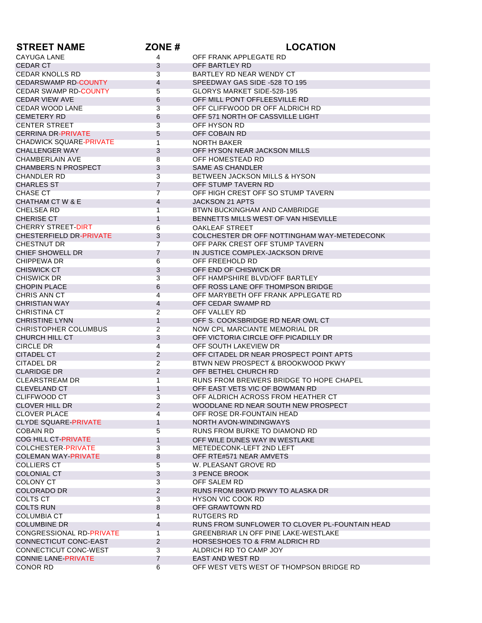| <b>STREET NAME</b>                 | ZONE#          | <b>LOCATION</b>                                                       |
|------------------------------------|----------------|-----------------------------------------------------------------------|
| CAYUGA LANE                        | 4              | OFF FRANK APPLEGATE RD                                                |
| <b>CEDAR CT</b>                    | 3              | OFF BARTLEY RD                                                        |
| <b>CEDAR KNOLLS RD</b>             | 3              | BARTLEY RD NEAR WENDY CT                                              |
| <b>CEDARSWAMP RD-COUNTY</b>        | 4              | SPEEDWAY GAS SIDE -528 TO 195                                         |
| <b>CEDAR SWAMP RD-COUNTY</b>       | 5              | GLORYS MARKET SIDE-528-195                                            |
| <b>CEDAR VIEW AVE</b>              | 6              | OFF MILL PONT OFFLEESVILLE RD                                         |
| CEDAR WOOD LANE                    | 3              | OFF CLIFFWOOD DR OFF ALDRICH RD                                       |
| <b>CEMETERY RD</b>                 | 6              | OFF 571 NORTH OF CASSVILLE LIGHT                                      |
| <b>CENTER STREET</b>               | 3              | OFF HYSON RD                                                          |
| CERRINA DR-PRIVATE                 | 5              | OFF COBAIN RD                                                         |
| <b>CHADWICK SQUARE-PRIVATE</b>     | $\mathbf{1}$   | <b>NORTH BAKER</b>                                                    |
| <b>CHALLENGER WAY</b>              | 3              | OFF HYSON NEAR JACKSON MILLS                                          |
| <b>CHAMBERLAIN AVE</b>             | 8              | OFF HOMESTEAD RD                                                      |
| <b>CHAMBERS N PROSPECT</b>         | 3              | SAME AS CHANDLER                                                      |
| <b>CHANDLER RD</b>                 | 3              | <b>BETWEEN JACKSON MILLS &amp; HYSON</b>                              |
| <b>CHARLES ST</b>                  | $\overline{7}$ | OFF STUMP TAVERN RD                                                   |
| CHASE CT                           | $\overline{7}$ | OFF HIGH CREST OFF SO STUMP TAVERN                                    |
| CHATHAM CT W & E                   | 4              | JACKSON 21 APTS                                                       |
| <b>CHELSEA RD</b>                  | 1              | BTWN BUCKINGHAM AND CAMBRIDGE                                         |
| <b>CHERISE CT</b>                  | $\mathbf{1}$   | BENNETTS MILLS WEST OF VAN HISEVILLE                                  |
| <b>CHERRY STREET-DIRT</b>          | 6              | <b>OAKLEAF STREET</b>                                                 |
| <b>CHESTERFIELD DR-PRIVATE</b>     | 3              | COLCHESTER DR OFF NOTTINGHAM WAY-METEDECONK                           |
| <b>CHESTNUT DR</b>                 | $\overline{7}$ | OFF PARK CREST OFF STUMP TAVERN                                       |
| CHIEF SHOWELL DR                   | $\overline{7}$ | IN JUSTICE COMPLEX-JACKSON DRIVE                                      |
| CHIPPEWA DR                        | 6              | OFF FREEHOLD RD                                                       |
| <b>CHISWICK CT</b>                 | 3              | OFF END OF CHISWICK DR                                                |
| <b>CHISWICK DR</b>                 | 3              | OFF HAMPSHIRE BLVD/OFF BARTLEY                                        |
| <b>CHOPIN PLACE</b>                | 6              | OFF ROSS LANE OFF THOMPSON BRIDGE                                     |
| <b>CHRIS ANN CT</b>                | $\overline{4}$ | OFF MARYBETH OFF FRANK APPLEGATE RD                                   |
| <b>CHRISTIAN WAY</b>               | 4              | OFF CEDAR SWAMP RD                                                    |
| <b>CHRISTINA CT</b>                | $\overline{2}$ | OFF VALLEY RD                                                         |
| <b>CHRISTINE LYNN</b>              | $\mathbf{1}$   | OFF S. COOKSBRIDGE RD NEAR OWL CT                                     |
| <b>CHRISTOPHER COLUMBUS</b>        | $\overline{2}$ | NOW CPL MARCIANTE MEMORIAL DR<br>OFF VICTORIA CIRCLE OFF PICADILLY DR |
| CHURCH HILL CT<br><b>CIRCLE DR</b> | 3              | OFF SOUTH LAKEVIEW DR                                                 |
| CITADEL CT                         | 4<br>2         | OFF CITADEL DR NEAR PROSPECT POINT APTS                               |
| <b>CITADEL DR</b>                  | $\overline{2}$ | BTWN NEW PROSPECT & BROOKWOOD PKWY                                    |
| <b>CLARIDGE DR</b>                 | $\overline{2}$ | OFF BETHEL CHURCH RD                                                  |
| <b>CLEARSTREAM DR</b>              | 1              | RUNS FROM BREWERS BRIDGE TO HOPE CHAPEL                               |
| <b>CLEVELAND CT</b>                | 1              | OFF EAST VETS VIC OF BOWMAN RD                                        |
| <b>CLIFFWOOD CT</b>                | 3              | OFF ALDRICH ACROSS FROM HEATHER CT                                    |
| CLOVER HILL DR                     | $\overline{2}$ | WOODLANE RD NEAR SOUTH NEW PROSPECT                                   |
| <b>CLOVER PLACE</b>                | 4              | OFF ROSE DR-FOUNTAIN HEAD                                             |
| CLYDE SQUARE-PRIVATE               | 1              | NORTH AVON-WINDINGWAYS                                                |
| <b>COBAIN RD</b>                   | 5              | RUNS FROM BURKE TO DIAMOND RD                                         |
| <b>COG HILL CT-PRIVATE</b>         | $\mathbf{1}$   | OFF WILE DUNES WAY IN WESTLAKE                                        |
| <b>COLCHESTER-PRIVATE</b>          | 3              | METEDECONK-LEFT 2ND LEFT                                              |
| <b>COLEMAN WAY-PRIVATE</b>         | 8              | OFF RTE#571 NEAR AMVETS                                               |
| <b>COLLIERS CT</b>                 | 5              | W. PLEASANT GROVE RD                                                  |
| <b>COLONIAL CT</b>                 | 3              | <b>3 PENCE BROOK</b>                                                  |
| <b>COLONY CT</b>                   | $\overline{3}$ | OFF SALEM RD                                                          |
| <b>COLORADO DR</b>                 | 2              | RUNS FROM BKWD PKWY TO ALASKA DR                                      |
| <b>COLTS CT</b>                    | 3              | <b>HYSON VIC COOK RD</b>                                              |
| <b>COLTS RUN</b>                   | 8              | OFF GRAWTOWN RD                                                       |
| <b>COLUMBIA CT</b>                 | $\mathbf{1}$   | RUTGERS RD                                                            |
| <b>COLUMBINE DR</b>                | 4              | RUNS FROM SUNFLOWER TO CLOVER PL-FOUNTAIN HEAD                        |
| <b>CONGRESSIONAL RD-PRIVATE</b>    | $\mathbf{1}$   | <b>GREENBRIAR LN OFF PINE LAKE-WESTLAKE</b>                           |
| CONNECTICUT CONC-EAST              | $\overline{2}$ | <b>HORSESHOES TO &amp; FRM ALDRICH RD</b>                             |
| CONNECTICUT CONC-WEST              | 3              | ALDRICH RD TO CAMP JOY                                                |
| <b>CONNIE LANE-PRIVATE</b>         | 7              | EAST AND WEST RD                                                      |
| <b>CONOR RD</b>                    | 6              | OFF WEST VETS WEST OF THOMPSON BRIDGE RD                              |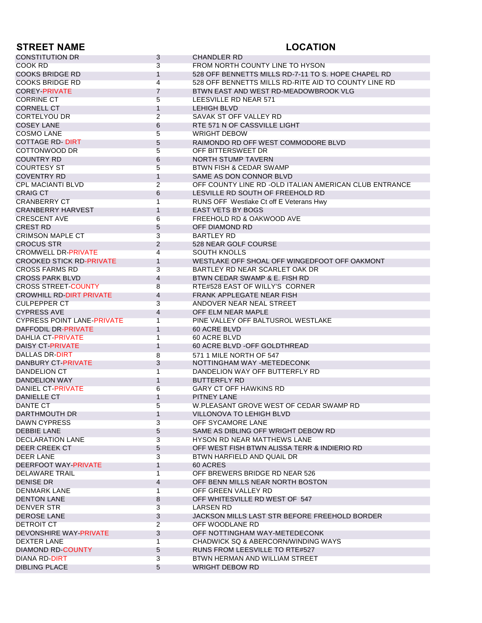## **STREET NAME LOCATION**

| <b>CONSTITUTION DR</b>            | 3              | <b>CHANDLER RD</b>                                     |
|-----------------------------------|----------------|--------------------------------------------------------|
| COOK RD                           | 3              | FROM NORTH COUNTY LINE TO HYSON                        |
| <b>COOKS BRIDGE RD</b>            | 1              | 528 OFF BENNETTS MILLS RD-7-11 TO S. HOPE CHAPEL RD    |
| <b>COOKS BRIDGE RD</b>            | $\overline{4}$ | 528 OFF BENNETTS MILLS RD-RITE AID TO COUNTY LINE RD   |
| <b>COREY-PRIVATE</b>              | $\overline{7}$ | BTWN EAST AND WEST RD-MEADOWBROOK VLG                  |
| <b>CORRINE CT</b>                 | 5              | LEESVILLE RD NEAR 571                                  |
| <b>CORNELL CT</b>                 | $\mathbf{1}$   | <b>LEHIGH BLVD</b>                                     |
| <b>CORTELYOU DR</b>               | $\overline{2}$ | SAVAK ST OFF VALLEY RD                                 |
| <b>COSEY LANE</b>                 | 6              | RTE 571 N OF CASSVILLE LIGHT                           |
| <b>COSMO LANE</b>                 | 5              | <b>WRIGHT DEBOW</b>                                    |
| <b>COTTAGE RD-DIRT</b>            | 5              | RAIMONDO RD OFF WEST COMMODORE BLVD                    |
| COTTONWOOD DR                     | 5              | OFF BITTERSWEET DR                                     |
| <b>COUNTRY RD</b>                 | 6              | <b>NORTH STUMP TAVERN</b>                              |
| <b>COURTESY ST</b>                | 5              | <b>BTWN FISH &amp; CEDAR SWAMP</b>                     |
| <b>COVENTRY RD</b>                | 1              | SAME AS DON CONNOR BLVD                                |
|                                   | 2              |                                                        |
| <b>CPL MACIANTI BLVD</b>          |                | OFF COUNTY LINE RD -OLD ITALIAN AMERICAN CLUB ENTRANCE |
| <b>CRAIG CT</b>                   | 6              | LESVILLE RD SOUTH OF FREEHOLD RD                       |
| <b>CRANBERRY CT</b>               | 1              | RUNS OFF Westlake Ct off E Veterans Hwy                |
| <b>CRANBERRY HARVEST</b>          | $\mathbf{1}$   | <b>EAST VETS BY BOGS</b>                               |
| <b>CRESCENT AVE</b>               | 6              | FREEHOLD RD & OAKWOOD AVE                              |
| <b>CREST RD</b>                   | 5              | OFF DIAMOND RD                                         |
| <b>CRIMSON MAPLE CT</b>           | 3              | <b>BARTLEY RD</b>                                      |
| <b>CROCUS STR</b>                 | 2              | 528 NEAR GOLF COURSE                                   |
| <b>CROMWELL DR-PRIVATE</b>        | 4              | <b>SOUTH KNOLLS</b>                                    |
| <b>CROOKED STICK RD-PRIVATE</b>   | 1              | WESTLAKE OFF SHOAL OFF WINGEDFOOT OFF OAKMONT          |
| <b>CROSS FARMS RD</b>             | 3              | BARTLEY RD NEAR SCARLET OAK DR                         |
| <b>CROSS PARK BLVD</b>            | 4              | BTWN CEDAR SWAMP & E. FISH RD                          |
| <b>CROSS STREET-COUNTY</b>        | 8              | RTE#528 EAST OF WILLY'S CORNER                         |
| <b>CROWHILL RD-DIRT PRIVATE</b>   | 4              | FRANK APPLEGATE NEAR FISH                              |
| <b>CULPEPPER CT</b>               | 3              | ANDOVER NEAR NEAL STREET                               |
| <b>CYPRESS AVE</b>                | $\overline{4}$ | OFF ELM NEAR MAPLE                                     |
| <b>CYPRESS POINT LANE-PRIVATE</b> | 1              | PINE VALLEY OFF BALTUSROL WESTLAKE                     |
| DAFFODIL DR-PRIVATE               | 1              | 60 ACRE BLVD                                           |
| <b>DAHLIA CT-PRIVATE</b>          | 1              | 60 ACRE BLVD                                           |
| <b>DAISY CT-PRIVATE</b>           | 1              | 60 ACRE BLVD - OFF GOLDTHREAD                          |
| DALLAS DR-DIRT                    | 8              | 571 1 MILE NORTH OF 547                                |
| DANBURY CT-PRIVATE                | 3              | NOTTINGHAM WAY -METEDECONK                             |
| <b>DANDELION CT</b>               | 1              | DANDELION WAY OFF BUTTERFLY RD                         |
| DANDELION WAY                     | $\mathbf{1}$   | <b>BUTTERFLY RD</b>                                    |
| <b>DANIEL CT-PRIVATE</b>          | 6              | <b>GARY CT OFF HAWKINS RD</b>                          |
| DANIELLE CT                       | 1              | PITNEY LANE                                            |
| DANTE CT                          | 5              | W.PLEASANT GROVE WEST OF CEDAR SWAMP RD                |
| DARTHMOUTH DR                     | $\mathbf{1}$   | VILLONOVA TO LEHIGH BLVD                               |
| <b>DAWN CYPRESS</b>               | 3              | OFF SYCAMORE LANE                                      |
| DEBBIE LANE                       |                | SAME AS DIBLING OFF WRIGHT DEBOW RD                    |
|                                   | 5              |                                                        |
| DECLARATION LANE                  | 3              | <b>HYSON RD NEAR MATTHEWS LANE</b>                     |
| DEER CREEK CT                     | 5              | OFF WEST FISH BTWN ALISSA TERR & INDIERIO RD           |
| <b>DEER LANE</b>                  | 3              | BTWN HARFIELD AND QUAIL DR                             |
| DEERFOOT WAY-PRIVATE              | 1              | 60 ACRES                                               |
| DELAWARE TRAIL                    | 1              | OFF BREWERS BRIDGE RD NEAR 526                         |
| DENISE DR                         | 4              | OFF BENN MILLS NEAR NORTH BOSTON                       |
| <b>DENMARK LANE</b>               | 1              | OFF GREEN VALLEY RD                                    |
| <b>DENTON LANE</b>                | 8              | OFF WHITESVILLE RD WEST OF 547                         |
| <b>DENVER STR</b>                 | 3              | LARSEN RD                                              |
| <b>DEROSE LANE</b>                | 3              | JACKSON MILLS LAST STR BEFORE FREEHOLD BORDER          |
| DETROIT CT                        | $\overline{2}$ | OFF WOODLANE RD                                        |
| <b>DEVONSHIRE WAY-PRIVATE</b>     | 3              | OFF NOTTINGHAM WAY-METEDECONK                          |
| <b>DEXTER LANE</b>                | 1              | CHADWICK SQ & ABERCORN/WINDING WAYS                    |
| DIAMOND RD-COUNTY                 | 5              | RUNS FROM LEESVILLE TO RTE#527                         |
| DIANA RD-DIRT                     | 3              | BTWN HERMAN AND WILLIAM STREET                         |
| <b>DIBLING PLACE</b>              | 5              | <b>WRIGHT DEBOW RD</b>                                 |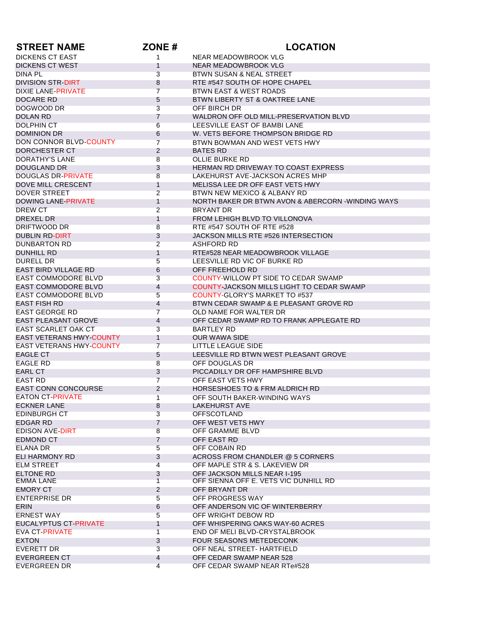| <b>STREET NAME</b>              | ZONE#               | <b>LOCATION</b>                                    |
|---------------------------------|---------------------|----------------------------------------------------|
| <b>DICKENS CT EAST</b>          | 1                   | NEAR MEADOWBROOK VLG                               |
| <b>DICKENS CT WEST</b>          | $\mathbf{1}$        | NEAR MEADOWBROOK VLG                               |
| DINA PL                         | 3                   | BTWN SUSAN & NEAL STREET                           |
| <b>DIVISION STR-DIRT</b>        | 8                   | RTE #547 SOUTH OF HOPE CHAPEL                      |
| DIXIE LANE-PRIVATE              | $\overline{7}$      | BTWN EAST & WEST ROADS                             |
| DOCARE RD                       | 5                   | BTWN LIBERTY ST & OAKTREE LANE                     |
| DOGWOOD DR                      | 3                   | OFF BIRCH DR                                       |
| <b>DOLAN RD</b>                 | 7                   | WALDRON OFF OLD MILL-PRESERVATION BLVD             |
| <b>DOLPHIN CT</b>               | 6                   | LEESVILLE EAST OF BAMBI LANE                       |
| <b>DOMINION DR</b>              | 6                   | W. VETS BEFORE THOMPSON BRIDGE RD                  |
| DON CONNOR BLVD-COUNTY          | $\overline{7}$      | BTWN BOWMAN AND WEST VETS HWY                      |
| DORCHESTER CT                   | $\overline{2}$      | <b>BATES RD</b>                                    |
| <b>DORATHY'S LANE</b>           | 8                   | <b>OLLIE BURKE RD</b>                              |
| <b>DOUGLAND DR</b>              | 3                   | HERMAN RD DRIVEWAY TO COAST EXPRESS                |
| <b>DOUGLAS DR-PRIVATE</b>       | 8                   | LAKEHURST AVE-JACKSON ACRES MHP                    |
| DOVE MILL CRESCENT              | $\mathbf{1}$        | MELISSA LEE DR OFF EAST VETS HWY                   |
| <b>DOVER STREET</b>             | $\overline{2}$      | BTWN NEW MEXICO & ALBANY RD                        |
| <b>DOWING LANE-PRIVATE</b>      | $\mathbf{1}$        | NORTH BAKER DR BTWN AVON & ABERCORN - WINDING WAYS |
| <b>DREW CT</b>                  | $\overline{2}$      | <b>BRYANT DR</b>                                   |
| DREXEL DR                       | $\mathbf{1}$        | FROM LEHIGH BLVD TO VILLONOVA                      |
| DRIFTWOOD DR                    | 8                   | RTE #547 SOUTH OF RTE #528                         |
| <b>DUBLIN RD-DIRT</b>           | 3                   | JACKSON MILLS RTE #526 INTERSECTION                |
| <b>DUNBARTON RD</b>             | $\overline{2}$      | <b>ASHFORD RD</b>                                  |
| <b>DUNHILL RD</b>               | $\mathbf{1}$        | RTE#528 NEAR MEADOWBROOK VILLAGE                   |
| <b>DURELL DR</b>                | 5                   | LEESVILLE RD VIC OF BURKE RD                       |
| <b>EAST BIRD VILLAGE RD</b>     | 6                   | OFF FREEHOLD RD                                    |
| <b>EAST COMMODORE BLVD</b>      | 3                   | <b>COUNTY-WILLOW PT SIDE TO CEDAR SWAMP</b>        |
| <b>EAST COMMODORE BLVD</b>      | 4                   | COUNTY-JACKSON MILLS LIGHT TO CEDAR SWAMP          |
| <b>EAST COMMODORE BLVD</b>      | 5                   | <b>COUNTY-GLORY'S MARKET TO #537</b>               |
| <b>EAST FISH RD</b>             | 4                   | BTWN CEDAR SWAMP & E PLEASANT GROVE RD             |
| <b>EAST GEORGE RD</b>           | $\overline{7}$      | OLD NAME FOR WALTER DR                             |
| <b>EAST PLEASANT GROVE</b>      | 4                   | OFF CEDAR SWAMP RD TO FRANK APPLEGATE RD           |
| <b>EAST SCARLET OAK CT</b>      | 3                   | <b>BARTLEY RD</b>                                  |
| <b>EAST VETERANS HWY-COUNTY</b> | 1                   | <b>OUR WAWA SIDE</b>                               |
| <b>EAST VETERANS HWY-COUNTY</b> | 7                   | LITTLE LEAGUE SIDE                                 |
| <b>EAGLE CT</b>                 | 5                   | LEESVILLE RD BTWN WEST PLEASANT GROVE              |
| <b>EAGLE RD</b>                 | 8                   | OFF DOUGLAS DR                                     |
| <b>EARL CT</b>                  | 3                   | PICCADILLY DR OFF HAMPSHIRE BLVD                   |
| <b>EAST RD</b>                  | $\overline{7}$      | OFF EAST VETS HWY                                  |
| <b>EAST CONN CONCOURSE</b>      | 2                   | <b>HORSESHOES TO &amp; FRM ALDRICH RD</b>          |
| <b>EATON CT-PRIVATE</b>         | 1                   | OFF SOUTH BAKER-WINDING WAYS                       |
| <b>ECKNER LANE</b>              | 8                   | LAKEHURST AVE                                      |
| EDINBURGH CT                    | 3                   | <b>OFFSCOTLAND</b>                                 |
| EDGAR RD<br>EDISON AVE-DIRT     | $\overline{7}$      | OFF WEST VETS HWY                                  |
|                                 | 8<br>$\overline{7}$ | OFF GRAMME BLVD<br>OFF EAST RD                     |
| EDMOND CT<br>ELANA DR           | $5\overline{)}$     | OFF COBAIN RD                                      |
| ELI HARMONY RD                  | 3                   | ACROSS FROM CHANDLER @ 5 CORNERS                   |
| <b>ELM STREET</b>               | $\overline{4}$      | OFF MAPLE STR & S. LAKEVIEW DR                     |
| ELTONE RD                       | 3                   | OFF JACKSON MILLS NEAR I-195                       |
| EMMA LANE                       | $\mathbf{1}$        | OFF SIENNA OFF E. VETS VIC DUNHILL RD              |
| EMORY CT                        | $\overline{2}$      | OFF BRYANT DR                                      |
| <b>ENTERPRISE DR</b>            | $5\overline{)}$     | OFF PROGRESS WAY                                   |
| <b>ERIN</b>                     | 6                   | OFF ANDERSON VIC OF WINTERBERRY                    |
| <b>ERNEST WAY</b>               | 5                   | OFF WRIGHT DEBOW RD                                |
| EUCALYPTUS CT-PRIVATE           | $\mathbf{1}$        | OFF WHISPERING OAKS WAY-60 ACRES                   |
| EVA CT-PRIVATE                  | $\mathbf{1}$        | END OF MELI BLVD-CRYSTALBROOK                      |
| <b>EXTON</b>                    | 3                   | FOUR SEASONS METEDECONK                            |
| EVERETT DR                      | $\overline{3}$      | OFF NEAL STREET- HARTFIELD                         |
| EVERGREEN CT                    | $\overline{4}$      | OFF CEDAR SWAMP NEAR 528                           |
| EVERGREEN DR                    | $\overline{4}$      | OFF CEDAR SWAMP NEAR RTe#528                       |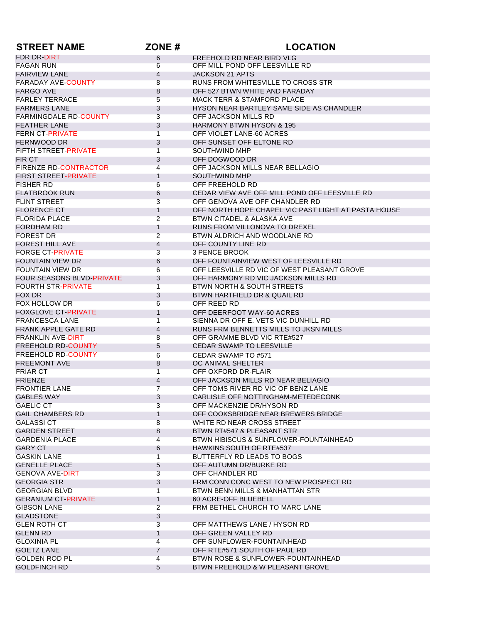| <b>STREET NAME</b>                        | ZONE#                          | <b>LOCATION</b>                                                      |
|-------------------------------------------|--------------------------------|----------------------------------------------------------------------|
| FDR DR-DIRT                               | 6                              | FREEHOLD RD NEAR BIRD VLG                                            |
| <b>FAGAN RUN</b>                          | 6                              | OFF MILL POND OFF LEESVILLE RD                                       |
| <b>FAIRVIEW LANE</b>                      | $\overline{4}$                 | JACKSON 21 APTS                                                      |
| <b>FARADAY AVE-COUNTY</b>                 | 8                              | RUNS FROM WHITESVILLE TO CROSS STR                                   |
| <b>FARGO AVE</b>                          | 8                              | OFF 527 BTWN WHITE AND FARADAY                                       |
| <b>FARLEY TERRACE</b>                     | 5                              | <b>MACK TERR &amp; STAMFORD PLACE</b>                                |
| <b>FARMERS LANE</b>                       | 3                              | HYSON NEAR BARTLEY SAME SIDE AS CHANDLER                             |
| <b>FARMINGDALE RD-COUNTY</b>              | 3                              | OFF JACKSON MILLS RD                                                 |
| <b>FEATHER LANE</b>                       | 3                              | <b>HARMONY BTWN HYSON &amp; 195</b>                                  |
| <b>FERN CT-PRIVATE</b>                    | $\mathbf{1}$                   | OFF VIOLET LANE-60 ACRES                                             |
| FERNWOOD DR                               | 3                              | OFF SUNSET OFF ELTONE RD                                             |
| FIFTH STREET-PRIVATE                      | $\mathbf{1}$                   | SOUTHWIND MHP                                                        |
| FIR CT                                    | 3                              | OFF DOGWOOD DR                                                       |
| <b>FIRENZE RD-CONTRACTOR</b>              | $\overline{4}$                 | OFF JACKSON MILLS NEAR BELLAGIO                                      |
| <b>FIRST STREET-PRIVATE</b>               | 1                              | SOUTHWIND MHP                                                        |
| <b>FISHER RD</b>                          | 6                              | OFF FREEHOLD RD                                                      |
| <b>FLATBROOK RUN</b>                      | 6                              | CEDAR VIEW AVE OFF MILL POND OFF LEESVILLE RD                        |
| <b>FLINT STREET</b>                       | 3                              | OFF GENOVA AVE OFF CHANDLER RD                                       |
| <b>FLORENCE CT</b>                        | $\mathbf{1}$                   | OFF NORTH HOPE CHAPEL VIC PAST LIGHT AT PASTA HOUSE                  |
| <b>FLORIDA PLACE</b>                      | $\overline{2}$                 | BTWN CITADEL & ALASKA AVE                                            |
| <b>FORDHAM RD</b>                         | $\mathbf{1}$                   | RUNS FROM VILLONOVA TO DREXEL                                        |
| <b>FOREST DR</b>                          | $\overline{2}$                 | BTWN ALDRICH AND WOODLANE RD                                         |
| <b>FOREST HILL AVE</b>                    | $\overline{4}$                 | OFF COUNTY LINE RD                                                   |
| <b>FORGE CT-PRIVATE</b>                   | 3                              | <b>3 PENCE BROOK</b>                                                 |
| <b>FOUNTAIN VIEW DR</b>                   | 6                              | OFF FOUNTAINVIEW WEST OF LEESVILLE RD                                |
| <b>FOUNTAIN VIEW DR</b>                   | 6                              | OFF LEESVILLE RD VIC OF WEST PLEASANT GROVE                          |
| FOUR SEASONS BLVD-PRIVATE                 | 3                              | OFF HARMONY RD VIC JACKSON MILLS RD                                  |
| <b>FOURTH STR-PRIVATE</b>                 | $\overline{1}$                 | <b>BTWN NORTH &amp; SOUTH STREETS</b>                                |
| FOX DR                                    | 3                              | BTWN HARTFIELD DR & QUAIL RD                                         |
| FOX HOLLOW DR                             | 6                              | OFF REED RD                                                          |
| <b>FOXGLOVE CT-PRIVATE</b>                | $\mathbf{1}$                   | OFF DEERFOOT WAY-60 ACRES                                            |
| <b>FRANCESCA LANE</b>                     | $\mathbf{1}$                   | SIENNA DR OFF E. VETS VIC DUNHILL RD                                 |
| <b>FRANK APPLE GATE RD</b>                | 4                              | RUNS FRM BENNETTS MILLS TO JKSN MILLS                                |
| <b>FRANKLIN AVE-DIRT</b>                  | 8                              | OFF GRAMME BLVD VIC RTE#527                                          |
| <b>FREEHOLD RD-COUNTY</b>                 | 5                              | <b>CEDAR SWAMP TO LEESVILLE</b>                                      |
| <b>FREEHOLD RD-COUNTY</b>                 | 6                              | CEDAR SWAMP TO #571                                                  |
| <b>FREEMONT AVE</b>                       | 8                              | OC ANIMAL SHELTER                                                    |
| <b>FRIAR CT</b>                           | $\mathbf{1}$                   | OFF OXFORD DR-FLAIR                                                  |
| <b>FRIENZE</b>                            | 4                              | OFF JACKSON MILLS RD NEAR BELIAGIO                                   |
| <b>FRONTIER LANE</b>                      | $\overline{7}$                 | OFF TOMS RIVER RD VIC OF BENZ LANE                                   |
| GABLES WAY                                | 3                              | CARLISLE OFF NOT HNGHAM-METEDECONK                                   |
| <b>GAELIC CT</b>                          | 3                              | OFF MACKENZIE DR/HYSON RD                                            |
| <b>GAIL CHAMBERS RD</b>                   | $\mathbf{1}$                   | OFF COOKSBRIDGE NEAR BREWERS BRIDGE                                  |
| <b>GALASSI CT</b><br><b>GARDEN STREET</b> | 8                              | WHITE RD NEAR CROSS STREET                                           |
| <b>GARDENIA PLACE</b>                     | 8<br>$\overline{4}$            | BTWN RT#547 & PLEASANT STR<br>BTWN HIBISCUS & SUNFLOWER-FOUNTAINHEAD |
| <b>GARY CT</b>                            | 6                              |                                                                      |
| <b>GASKIN LANE</b>                        |                                | HAWKINS SOUTH OF RTE#537<br>BUTTERFLY RD LEADS TO BOGS               |
| <b>GENELLE PLACE</b>                      | $\mathbf{1}$                   | OFF AUTUMN DR/BURKE RD                                               |
| <b>GENOVA AVE-DIRT</b>                    | 5<br>3                         | OFF CHANDLER RD                                                      |
| <b>GEORGIA STR</b>                        | 3                              | FRM CONN CONC WEST TO NEW PROSPECT RD                                |
| <b>GEORGIAN BLVD</b>                      | $\mathbf{1}$                   | BTWN BENN MILLS & MANHATTAN STR                                      |
| <b>GERANIUM CT-PRIVATE</b>                |                                | 60 ACRE-OFF BLUEBELL                                                 |
| <b>GIBSON LANE</b>                        | $\mathbf{1}$<br>$\overline{2}$ | FRM BETHEL CHURCH TO MARC LANE                                       |
| <b>GLADSTONE</b>                          | 3                              |                                                                      |
| <b>GLEN ROTH CT</b>                       | 3                              | OFF MATTHEWS LANE / HYSON RD                                         |
| <b>GLENN RD</b>                           | 1                              | OFF GREEN VALLEY RD                                                  |
| <b>GLOXINIA PL</b>                        | 4                              | OFF SUNFLOWER-FOUNTAINHEAD                                           |
| <b>GOETZ LANE</b>                         | $\overline{7}$                 | OFF RTE#571 SOUTH OF PAUL RD                                         |
| <b>GOLDEN ROD PL</b>                      | 4                              | BTWN ROSE & SUNFLOWER-FOUNTAINHEAD                                   |
| <b>GOLDFINCH RD</b>                       | $5\overline{)}$                | BTWN FREEHOLD & W PLEASANT GROVE                                     |
|                                           |                                |                                                                      |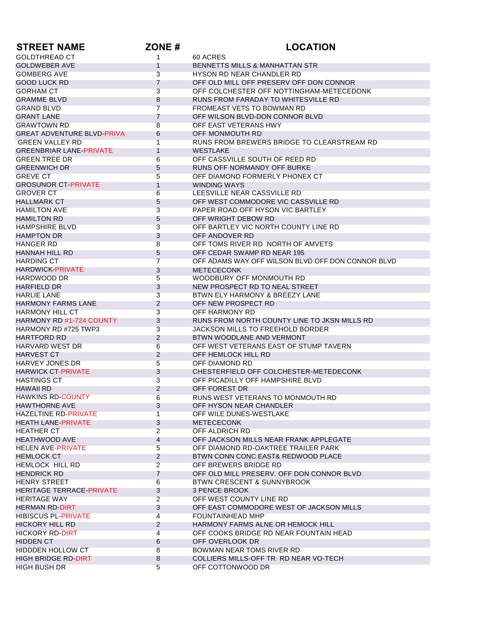| <b>STREET NAME</b>                | ZONE#           | <b>LOCATION</b>                                   |
|-----------------------------------|-----------------|---------------------------------------------------|
| <b>GOLDTHREAD CT</b>              | 1               | 60 ACRES                                          |
| <b>GOLDWEBER AVE</b>              | $\mathbf{1}$    | <b>BENNETTS MILLS &amp; MANHATTAN STR</b>         |
| <b>GOMBERG AVE</b>                | 3               | HYSON RD NEAR CHANDLER RD                         |
| GOOD LUCK RD                      | $\overline{7}$  | OFF OLD MILL OFF PRESERV OFF DON CONNOR           |
| <b>GORHAM CT</b>                  | 3               | OFF COLCHESTER OFF NOTTINGHAM-METECEDONK          |
| <b>GRAMME BLVD</b>                | 8               | RUNS FROM FARADAY TO WHITESVILLE RD               |
| <b>GRAND BLVD</b>                 | $\overline{7}$  | FROMEAST VETS TO BOWMAN RD                        |
| <b>GRANT LANE</b>                 | $\overline{7}$  | OFF WILSON BLVD-DON CONNOR BLVD                   |
| <b>GRAWTOWN RD</b>                | 8               | OFF EAST VETERANS HWY                             |
| <b>GREAT ADVENTURE BLVD-PRIVA</b> | 6               | OFF MONMOUTH RD                                   |
| <b>GREEN VALLEY RD</b>            | $\overline{1}$  | RUNS FROM BREWERS BRIDGE TO CLEARSTREAM RD        |
| <b>GREENBRIAR LANE-PRIVATE</b>    | $\mathbf{1}$    | <b>WESTLAKE</b>                                   |
| <b>GREEN TREE DR</b>              | 6               | OFF CASSVILLE SOUTH OF REED RD                    |
| <b>GREENWICH DR</b>               | 5               | RUNS OFF NORMANDY OFF BURKE                       |
| <b>GREVE CT</b>                   | 5               | OFF DIAMOND FORMERLY PHONEX CT                    |
| <b>GROSUNOR CT-PRIVATE</b>        | $\mathbf{1}$    | <b>WINDING WAYS</b>                               |
| <b>GROVER CT</b>                  | 6               | LEESVILLE NEAR CASSVILLE RD                       |
| <b>HALLMARK CT</b>                | 5               | OFF WEST COMMODORE VIC CASSVILLE RD               |
| <b>HAMILTON AVE</b>               | 3               | PAPER ROAD OFF HYSON VIC BARTLEY                  |
| <b>HAMILTON RD</b>                | 5               | OFF WRIGHT DEBOW RD                               |
| <b>HAMPSHIRE BLVD</b>             | 3               | OFF BARTLEY VIC NORTH COUNTY LINE RD              |
| <b>HAMPTON DR</b>                 | 3               | OFF ANDOVER RD                                    |
| HANGER RD                         | 8               | OFF TOMS RIVER RD NORTH OF AMVETS                 |
| HANNAH HILL RD                    | 5               | OFF CEDAR SWAMP RD NEAR 195                       |
| <b>HARDING CT</b>                 | $\overline{7}$  | OFF ADAMS WAY OFF WILSON BLVD OFF DON CONNOR BLVD |
| <b>HARDWICK-PRIVATE</b>           | 3               | <b>METECECONK</b>                                 |
| HARDWOOD DR                       | 5               | WOODBURY OFF MONMOUTH RD                          |
| <b>HARFIELD DR</b>                | 3               | NEW PROSPECT RD TO NEAL STREET                    |
| HARLIE LANE                       | 3               | BTWN ELY HARMONY & BREEZY LANE                    |
| <b>HARMONY FARMS LANE</b>         | $\overline{2}$  | OFF NEW PROSPECT RD                               |
| HARMONY HILL CT                   | 3               | OFF HARMONY RD                                    |
| <b>HARMONY RD #1-724 COUNTY</b>   | 3               | RUNS FROM NORTH COUNTY LINE TO JKSN MILLS RD      |
| HARMONY RD #725 TWP3              | 3               | JACKSON MILLS TO FREEHOLD BORDER                  |
| <b>HARTFORD RD</b>                | $\overline{2}$  | BTWN WOODLANE AND VERMONT                         |
| <b>HARVARD WEST DR</b>            | 6               | OFF WEST VETERANS EAST OF STUMP TAVERN            |
| <b>HARVEST CT</b>                 | 2               | OFF HEMLOCK HILL RD                               |
| HARVEY JONES DR                   | 5               | OFF DIAMOND RD                                    |
| <b>HARWICK CT-PRIVATE</b>         | 3               | CHESTERFIELD OFF COLCHESTER-METEDECONK            |
| HASTINGS CT                       | 3               | OFF PICADILLY OFF HAMPSHIRE BLVD                  |
| <b>HAWAII RD</b>                  | 2               | OFF FOREST DR                                     |
| <b>HAWKINS RD-COUNTY</b>          |                 | RUNS WEST VETERANS TO MONMOUTH RD                 |
| <b>HAWTHORNE AVE</b>              | 6<br>3          | OFF HYSON NEAR CHANDLER                           |
| HAZELTINE RD-PRIVATE              | $\mathbf{1}$    | OFF WILE DUNES-WESTLAKE                           |
| <b>HEATH LANE-PRIVATE</b>         | 3               | <b>METECECONK</b>                                 |
| <b>HEATHER CT</b>                 | $\overline{2}$  | OFF ALDRICH RD                                    |
| <b>HEATHWOOD AVE</b>              | 4               | OFF JACKSON MILLS NEAR FRANK APPLEGATE            |
| <b>HELEN AVE-PRIVATE</b>          | 5               | OFF DIAMOND RD-OAKTREE TRAILER PARK               |
| <b>HEMLOCK CT</b>                 | $\overline{2}$  | BTWN CONN CONC EAST& REDWOOD PLACE                |
| <b>HEMLOCK HILL RD</b>            | $\overline{a}$  | OFF BREWERS BRIDGE RD                             |
| <b>HENDRICK RD</b>                | $\overline{7}$  | OFF OLD MILL PRESERV. OFF DON CONNOR BLVD         |
| <b>HENRY STREET</b>               | $6\phantom{1}$  | <b>BTWN CRESCENT &amp; SUNNYBROOK</b>             |
| <b>HERITAGE TERRACE-PRIVATE</b>   |                 | <b>3 PENCE BROOK</b>                              |
|                                   | 3               |                                                   |
| <b>HERITAGE WAY</b>               | $\overline{2}$  | OFF WEST COUNTY LINE RD                           |
| <b>HERMAN RD-DIRT</b>             | 3               | OFF EAST COMMODORE WEST OF JACKSON MILLS          |
| HIBISCUS PL-PRIVATE               | $\overline{4}$  | FOUNTAINHEAD MHP                                  |
| <b>HICKORY HILL RD</b>            | 2               | HARMONY FARMS ALNE OR HEMOCK HILL                 |
| <b>HICKORY RD-DIRT</b>            | 4               | OFF COOKS BRIDGE RD NEAR FOUNTAIN HEAD            |
| <b>HIDDEN CT</b>                  | 6               | OFF OVERLOOK DR                                   |
| <b>HIDDDEN HOLLOW CT</b>          | 8               | BOWMAN NEAR TOMS RIVER RD                         |
| <b>HIGH BRIDGE RD-DIRT</b>        | 8               | COLLIERS MILLS-OFF TR RD NEAR VO-TECH             |
| <b>HIGH BUSH DR</b>               | $5\phantom{.0}$ | OFF COTTONWOOD DR                                 |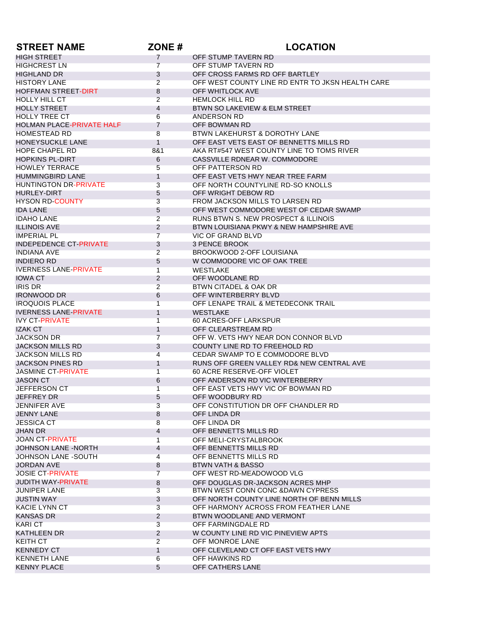| <b>STREET NAME</b>               | ZONE#          | <b>LOCATION</b>                                  |
|----------------------------------|----------------|--------------------------------------------------|
| <b>HIGH STREET</b>               | $\overline{7}$ | OFF STUMP TAVERN RD                              |
| <b>HIGHCREST LN</b>              | $\overline{7}$ | OFF STUMP TAVERN RD                              |
| <b>HIGHLAND DR</b>               | 3              | OFF CROSS FARMS RD OFF BARTLEY                   |
| <b>HISTORY LANE</b>              | $\overline{2}$ | OFF WEST COUNTY LINE RD ENTR TO JKSN HEALTH CARE |
| <b>HOFFMAN STREET-DIRT</b>       | 8              | OFF WHITLOCK AVE                                 |
| HOLLY HILL CT                    | $\overline{2}$ | <b>HEMLOCK HILL RD</b>                           |
| <b>HOLLY STREET</b>              | 4              | BTWN SO LAKEVIEW & ELM STREET                    |
| <b>HOLLY TREE CT</b>             | 6              | ANDERSON RD                                      |
| <b>HOLMAN PLACE-PRIVATE HALF</b> | $\overline{7}$ | OFF BOWMAN RD                                    |
| <b>HOMESTEAD RD</b>              | 8              | BTWN LAKEHURST & DOROTHY LANE                    |
| <b>HONEYSUCKLE LANE</b>          | $\mathbf{1}$   | OFF EAST VETS EAST OF BENNETTS MILLS RD          |
| <b>HOPE CHAPEL RD</b>            | 8&1            | AKA RT#547 WEST COUNTY LINE TO TOMS RIVER        |
| <b>HOPKINS PL-DIRT</b>           | 6              | CASSVILLE RDNEAR W. COMMODORE                    |
| <b>HOWLEY TERRACE</b>            | 5              | OFF PATTERSON RD                                 |
| <b>HUMMINGBIRD LANE</b>          | $\mathbf{1}$   | OFF EAST VETS HWY NEAR TREE FARM                 |
| <b>HUNTINGTON DR-PRIVATE</b>     | 3              | OFF NORTH COUNTYLINE RD-SO KNOLLS                |
| HURLEY-DIRT                      | 5              | OFF WRIGHT DEBOW RD                              |
| <b>HYSON RD-COUNTY</b>           | 3              | FROM JACKSON MILLS TO LARSEN RD                  |
| <b>IDA LANE</b>                  | 5              | OFF WEST COMMODORE WEST OF CEDAR SWAMP           |
| <b>IDAHO LANE</b>                | $\overline{2}$ | <b>RUNS BTWN S. NEW PROSPECT &amp; ILLINOIS</b>  |
| <b>ILLINOIS AVE</b>              | $\overline{2}$ | BTWN LOUISIANA PKWY & NEW HAMPSHIRE AVE          |
| <b>IMPERIAL PL</b>               | $\overline{7}$ | <b>VIC OF GRAND BLVD</b>                         |
| <b>INDEPEDENCE CT-PRIVATE</b>    | 3              | <b>3 PENCE BROOK</b>                             |
| INDIANA AVE                      | $\overline{2}$ | BROOKWOOD 2-OFF LOUISIANA                        |
| <b>INDIERO RD</b>                | 5              | W COMMODORE VIC OF OAK TREE                      |
| <b>IVERNESS LANE-PRIVATE</b>     | $\mathbf 1$    | <b>WESTLAKE</b>                                  |
| <b>IOWA CT</b>                   | $\overline{2}$ | OFF WOODLANE RD                                  |
| <b>IRIS DR</b>                   | $\overline{2}$ | BTWN CITADEL & OAK DR                            |
| <b>IRONWOOD DR</b>               | 6              | OFF WINTERBERRY BLVD                             |
| <b>IROQUOIS PLACE</b>            | 1              | OFF LENAPE TRAIL & METEDECONK TRAIL              |
| <b>IVERNESS LANE-PRIVATE</b>     | $\mathbf{1}$   | <b>WESTLAKE</b>                                  |
| <b>IVY CT-PRIVATE</b>            | 1              | 60 ACRES-OFF LARKSPUR                            |
| <b>IZAK CT</b>                   | $\mathbf{1}$   | OFF CLEARSTREAM RD                               |
| <b>JACKSON DR</b>                | $\overline{7}$ | OFF W. VETS HWY NEAR DON CONNOR BLVD             |
| <b>JACKSON MILLS RD</b>          | 3              | COUNTY LINE RD TO FREEHOLD RD                    |
| <b>JACKSON MILLS RD</b>          | $\overline{4}$ | CEDAR SWAMP TO E COMMODORE BLVD                  |
| <b>JACKSON PINES RD</b>          | $\mathbf{1}$   | RUNS OFF GREEN VALLEY RD& NEW CENTRAL AVE        |
| <b>JASMINE CT-PRIVATE</b>        | $\mathbf{1}$   | 60 ACRE RESERVE-OFF VIOLET                       |
| <b>JASON CT</b>                  | 6              | OFF ANDERSON RD VIC WINTERBERRY                  |
| <b>JEFFERSON CT</b>              | $\overline{1}$ | OFF EAST VETS HWY VIC OF BOWMAN RD               |
| JEFFREY DR                       | $\circ$        | OFF WOODBURY RD                                  |
| <b>JENNIFER AVE</b>              | 3              | OFF CONSTITUTION DR OFF CHANDLER RD              |
| JENNY LANE                       | 8              | OFF LINDA DR                                     |
| <b>JESSICA CT</b>                | 8              | OFF LINDA DR                                     |
| <b>JHAN DR</b>                   | $\overline{4}$ | OFF BENNETTS MILLS RD                            |
| <b>JOAN CT-PRIVATE</b>           | $\mathbf{1}$   | OFF MELI-CRYSTALBROOK                            |
| <b>JOHNSON LANE -NORTH</b>       | $\overline{4}$ | OFF BENNETTS MILLS RD                            |
| <b>JOHNSON LANE -SOUTH</b>       | 4              | OFF BENNETTS MILLS RD                            |
| <b>JORDAN AVE</b>                | 8              | BTWN VATH & BASSO                                |
| <b>JOSIE CT-PRIVATE</b>          | $\overline{7}$ | OFF WEST RD-MEADOWOOD VLG                        |
| <b>JUDITH WAY-PRIVATE</b>        | 8              | OFF DOUGLAS DR-JACKSON ACRES MHP                 |
| <b>JUNIPER LANE</b>              | 3              | BTWN WEST CONN CONC & DAWN CYPRESS               |
| <b>JUSTIN WAY</b>                | 3              | OFF NORTH COUNTY LINE NORTH OF BENN MILLS        |
| <b>KACIE LYNN CT</b>             | 3              | OFF HARMONY ACROSS FROM FEATHER LANE             |
| KANSAS DR                        | $\overline{2}$ | BTWN WOODLANE AND VERMONT                        |
| <b>KARI CT</b>                   | 3              | OFF FARMINGDALE RD                               |
| KATHLEEN DR                      | $\overline{2}$ | W COUNTY LINE RD VIC PINEVIEW APTS               |
| <b>KEITH CT</b>                  | $\overline{2}$ | OFF MONROE LANE                                  |
| <b>KENNEDY CT</b>                | $\mathbf{1}$   | OFF CLEVELAND CT OFF EAST VETS HWY               |
| <b>KENNETH LANE</b>              | 6              | OFF HAWKINS RD                                   |
| <b>KENNY PLACE</b>               | 5              | OFF CATHERS LANE                                 |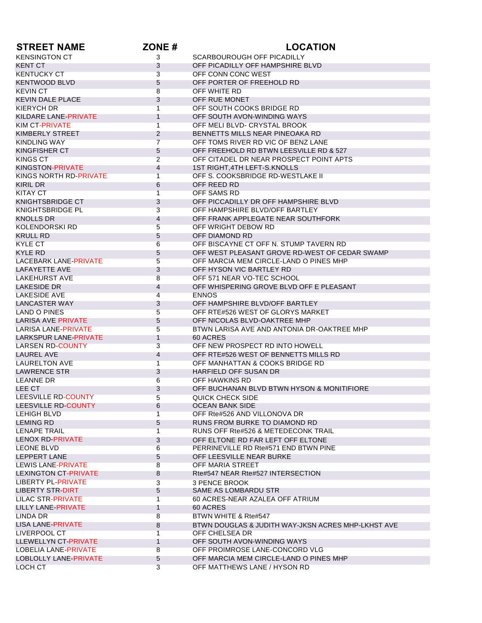| <b>STREET NAME</b>           | ZONE#          | <b>LOCATION</b>                                    |
|------------------------------|----------------|----------------------------------------------------|
| <b>KENSINGTON CT</b>         | 3              | SCARBOUROUGH OFF PICADILLY                         |
| <b>KENT CT</b>               | 3              | OFF PICADILLY OFF HAMPSHIRE BLVD                   |
| <b>KENTUCKY CT</b>           | 3              | OFF CONN CONC WEST                                 |
| <b>KENTWOOD BLVD</b>         | 5              | OFF PORTER OF FREEHOLD RD                          |
| <b>KEVIN CT</b>              | 8              | OFF WHITE RD                                       |
| <b>KEVIN DALE PLACE</b>      | 3              | OFF RUE MONET                                      |
| KIERYCH DR                   | $\overline{1}$ | OFF SOUTH COOKS BRIDGE RD                          |
| KILDARE LANE-PRIVATE         | $\mathbf{1}$   | OFF SOUTH AVON-WINDING WAYS                        |
| KIM CT-PRIVATE               | $\mathbf{1}$   | OFF MELI BLVD- CRYSTAL BROOK                       |
| KIMBERLY STREET              | 2              | BENNETTS MILLS NEAR PINEOAKA RD                    |
| <b>KINDLING WAY</b>          | $\overline{7}$ | OFF TOMS RIVER RD VIC OF BENZ LANE                 |
| KINGFISHER CT                | 5              | OFF FREEHOLD RD BTWN LEESVILLE RD & 527            |
| <b>KINGS CT</b>              | $\overline{2}$ | OFF CITADEL DR NEAR PROSPECT POINT APTS            |
| <b>KINGSTON-PRIVATE</b>      | 4              | 1ST RIGHT, 4TH LEFT-S. KNOLLS                      |
| KINGS NORTH RD-PRIVATE       | $\overline{1}$ | OFF S. COOKSBRIDGE RD-WESTLAKE II                  |
| KIRIL DR                     | 6              | OFF REED RD                                        |
| KITAY CT                     | $\overline{1}$ | OFF SAMS RD                                        |
| KNIGHTSBRIDGE CT             | 3              | OFF PICCADILLY DR OFF HAMPSHIRE BLVD               |
| KNIGHTSBRIDGE PL             | 3              | OFF HAMPSHIRE BLVD/OFF BARTLEY                     |
| <b>KNOLLS DR</b>             | 4              | OFF FRANK APPLEGATE NEAR SOUTHFORK                 |
| <b>KOLENDORSKI RD</b>        | 5              | OFF WRIGHT DEBOW RD                                |
| <b>KRULL RD</b>              | 5              | OFF DIAMOND RD                                     |
| <b>KYLE CT</b>               | 6              | OFF BISCAYNE CT OFF N. STUMP TAVERN RD             |
| KYI F RD                     | 5              | OFF WEST PLEASANT GROVE RD-WEST OF CEDAR SWAMP     |
| <b>LACEBARK LANE-PRIVATE</b> | 5              | OFF MARCIA MEM CIRCLE-LAND O PINES MHP             |
| LAFAYETTE AVE                | 3              | OFF HYSON VIC BARTLEY RD                           |
| LAKEHURST AVE                | 8              | OFF 571 NEAR VO-TEC SCHOOL                         |
| LAKESIDE DR                  | 4              | OFF WHISPERING GROVE BLVD OFF E PLEASANT           |
| LAKESIDE AVE                 | 4              | <b>ENNOS</b>                                       |
| LANCASTER WAY                | 3              | OFF HAMPSHIRE BLVD/OFF BARTLEY                     |
| <b>LAND O PINES</b>          | 5              | OFF RTE#526 WEST OF GLORYS MARKET                  |
| <b>LARISA AVE PRIVATE</b>    | 5              | OFF NICOLAS BLVD-OAKTREE MHP                       |
| LARISA LANE-PRIVATE          | 5              | BTWN LARISA AVE AND ANTONIA DR-OAKTREE MHP         |
| LARKSPUR LANE-PRIVATE        | 1              | 60 ACRES                                           |
| <b>LARSEN RD-COUNTY</b>      | 3              | OFF NEW PROSPECT RD INTO HOWELL                    |
| LAUREL AVE                   | 4              | OFF RTE#526 WEST OF BENNETTS MILLS RD              |
| LAURELTON AVE                | $\overline{1}$ | OFF MANHATTAN & COOKS BRIDGE RD                    |
| <b>LAWRENCE STR</b>          | 3              | HARFIELD OFF SUSAN DR                              |
| <b>LEANNE DR</b>             | 6              | OFF HAWKINS RD                                     |
| LEE CT                       | 3              | OFF BUCHANAN BLVD BTWN HYSON & MONITIFIORE         |
| LEESVILLE RD-COUNTY          | 5              | QUICK CHECK SIDE                                   |
| LEESVILLE RD-COUNTY          | 6              | OCEAN BANK SIDE                                    |
| LEHIGH BLVD                  | $\mathbf{1}$   | OFF Rte#526 AND VILLONOVA DR                       |
| <b>LEMING RD</b>             | 5              | RUNS FROM BURKE TO DIAMOND RD                      |
| <b>LENAPE TRAIL</b>          | $\mathbf{1}$   | RUNS OFF Rte#526 & METEDECONK TRAIL                |
| LENOX RD-PRIVATE             | 3              | OFF ELTONE RD FAR LEFT OFF ELTONE                  |
| <b>LEONE BLVD</b>            | 6              | PERRINEVILLE RD Rte#571 END BTWN PINE              |
| LEPPERT LANE                 | 5              | OFF LEESVILLE NEAR BURKE                           |
| LEWIS LANE-PRIVATE           | 8              | OFF MARIA STREET                                   |
| LEXINGTON CT-PRIVATE         | 8              | Rte#547 NEAR Rte#527 INTERSECTION                  |
| <b>LIBERTY PL-PRIVATE</b>    | 3              | 3 PENCE BROOK                                      |
| <b>LIBERTY STR-DIRT</b>      | 5              | SAME AS LOMBARDU STR                               |
| LILAC STR-PRIVATE            | $\overline{1}$ | 60 ACRES-NEAR AZALEA OFF ATRIUM                    |
| LILLY LANE PRIVATE           | $\mathbf{1}$   | 60 ACRES                                           |
| LINDA DR                     | 8              | BTWN WHITE & Rte#547                               |
| LISA LANE-PRIVATE            | 8              | BTWN DOUGLAS & JUDITH WAY-JKSN ACRES MHP-LKHST AVE |
| LIVERPOOL CT                 | 1              | OFF CHELSEA DR                                     |
| LLEWELLYN CT-PRIVATE         | $\mathbf{1}$   | OFF SOUTH AVON-WINDING WAYS                        |
| LOBELIA LANE-PRIVATE         | 8              | OFF PROIMROSE LANE-CONCORD VLG                     |
| LOBLOLLY LANE-PRIVATE        | 5              | OFF MARCIA MEM CIRCLE-LAND O PINES MHP             |
| LOCH CT                      | 3              | OFF MATTHEWS LANE / HYSON RD                       |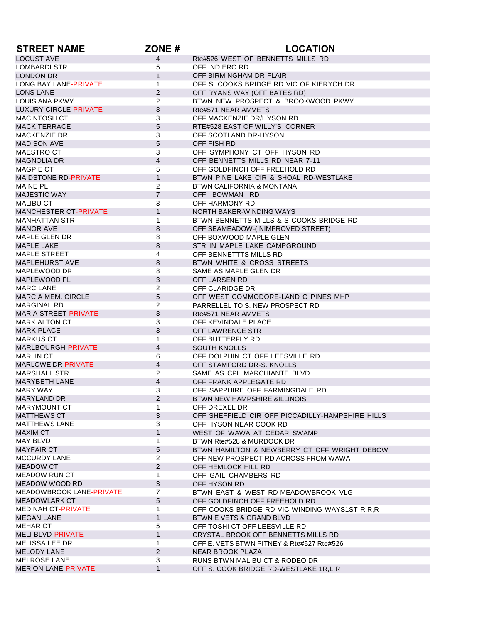| <b>STREET NAME</b>                        | ZONE#           | <b>LOCATION</b>                                  |
|-------------------------------------------|-----------------|--------------------------------------------------|
| <b>LOCUST AVE</b>                         | $\overline{4}$  | Rte#526 WEST OF BENNETTS MILLS RD                |
| LOMBARDI STR                              | 5               | OFF INDIERO RD                                   |
| <b>LONDON DR</b>                          | $\mathbf{1}$    | OFF BIRMINGHAM DR-FLAIR                          |
| LONG BAY LANE-PRIVATE                     | $\mathbf 1$     | OFF S. COOKS BRIDGE RD VIC OF KIERYCH DR         |
| <b>LONS LANE</b>                          | 2               | OFF RYANS WAY (OFF BATES RD)                     |
| <b>LOUISIANA PKWY</b>                     | 2               | BTWN NEW PROSPECT & BROOKWOOD PKWY               |
| <b>LUXURY CIRCLE-PRIVATE</b>              | 8               | Rte#571 NEAR AMVETS                              |
| MACINTOSH CT                              | 3               | OFF MACKENZIE DR/HYSON RD                        |
| <b>MACK TERRACE</b>                       | 5               | RTE#528 EAST OF WILLY'S CORNER                   |
| <b>MACKENZIE DR</b>                       | 3               | OFF SCOTLAND DR-HYSON                            |
| <b>MADISON AVE</b>                        | 5               | OFF FISH RD                                      |
| MAESTRO CT                                | 3               | OFF SYMPHONY CT OFF HYSON RD                     |
| <b>MAGNOLIA DR</b>                        | $\overline{4}$  | OFF BENNETTS MILLS RD NEAR 7-11                  |
| MAGPIE CT                                 | 5               | OFF GOLDFINCH OFF FREEHOLD RD                    |
| <b>MAIDSTONE RD-PRIVATE</b>               | $\mathbf{1}$    | BTWN PINE LAKE CIR & SHOAL RD-WESTLAKE           |
| <b>MAINE PL</b>                           | $\overline{2}$  | BTWN CALIFORNIA & MONTANA                        |
| <b>MAJESTIC WAY</b>                       | $\overline{7}$  | OFF BOWMAN RD                                    |
|                                           | 3               | OFF HARMONY RD                                   |
| MALIBU CT<br><b>MANCHESTER CT-PRIVATE</b> | $\mathbf{1}$    |                                                  |
|                                           |                 | NORTH BAKER-WINDING WAYS                         |
| <b>MANHATTAN STR</b>                      | 1               | BTWN BENNETTS MILLS & S COOKS BRIDGE RD          |
| <b>MANOR AVE</b>                          | 8               | OFF SEAMEADOW-(INIMPROVED STREET)                |
| MAPLE GLEN DR                             | 8               | OFF BOXWOOD-MAPLE GLEN                           |
| <b>MAPLE LAKE</b>                         | 8               | STR IN MAPLE LAKE CAMPGROUND                     |
| <b>MAPLE STREET</b>                       | 4               | OFF BENNETTTS MILLS RD                           |
| <b>MAPLEHURST AVE</b>                     | 8               | BTWN WHITE & CROSS STREETS                       |
| MAPLEWOOD DR                              | 8               | SAME AS MAPLE GLEN DR                            |
| MAPLEWOOD PL                              | 3               | OFF LARSEN RD                                    |
| <b>MARC LANE</b>                          | $\overline{2}$  | OFF CLARIDGE DR                                  |
| <b>MARCIA MEM. CIRCLE</b>                 | 5               | OFF WEST COMMODORE-LAND O PINES MHP              |
| <b>MARGINAL RD</b>                        | $\overline{2}$  | PARRELLEL TO S. NEW PROSPECT RD                  |
| <b>MARIA STREET-PRIVATE</b>               | 8               | Rte#571 NEAR AMVETS                              |
| MARK ALTON CT                             | 3               | OFF KEVINDALE PLACE                              |
| <b>MARK PLACE</b>                         | 3               | OFF LAWRENCE STR                                 |
| <b>MARKUS CT</b>                          | $\mathbf{1}$    | OFF BUTTERFLY RD                                 |
| MARLBOURGH-PRIVATE                        | 4               | <b>SOUTH KNOLLS</b>                              |
| <b>MARLIN CT</b>                          | 6               | OFF DOLPHIN CT OFF LEESVILLE RD                  |
| <b>MARLOWE DR-PRIVATE</b>                 | 4               | OFF STAMFORD DR-S. KNOLLS                        |
| MARSHALL STR                              | $\overline{2}$  | SAME AS CPL MARCHIANTE BLVD                      |
| <b>MARYBETH LANE</b>                      | 4               | OFF FRANK APPLEGATE RD                           |
| <b>MARY WAY</b>                           | 3               | OFF SAPPHIRE OFF FARMINGDALE RD                  |
| <b>MARYLAND DR</b>                        | $\overline{2}$  | BTWN NEW HAMPSHIRE &ILLINOIS                     |
| MARYMOUNT CT                              | 1               | OFF DREXEL DR                                    |
| <b>MATTHEWS CT</b>                        | 3               | OFF SHEFFIELD CIR OFF PICCADILLY-HAMPSHIRE HILLS |
| <b>MATTHEWS LANE</b>                      | 3               | OFF HYSON NEAR COOK RD                           |
| <b>MAXIM CT</b>                           | $\mathbf{1}$    | WEST OF WAWA AT CEDAR SWAMP                      |
| MAY BLVD                                  | $\mathbf{1}$    | BTWN Rte#528 & MURDOCK DR                        |
| <b>MAYFAIR CT</b>                         | $5\overline{)}$ | BTWN HAMILTON & NEWBERRY CT OFF WRIGHT DEBOW     |
| MCCURDY LANE                              | $\overline{2}$  | OFF NEW PROSPECT RD ACROSS FROM WAWA             |
| <b>MEADOW CT</b>                          | $\overline{2}$  | OFF HEMLOCK HILL RD                              |
| <b>MEADOW RUN CT</b>                      | 1               | OFF GAIL CHAMBERS RD                             |
| MEADOW WOOD RD                            | 3               | OFF HYSON RD                                     |
| <b>MEADOWBROOK LANE-PRIVATE</b>           | $\overline{7}$  | BTWN EAST & WEST RD-MEADOWBROOK VLG              |
| <b>MEADOWLARK CT</b>                      | $5\overline{)}$ | OFF GOLDFINCH OFF FREEHOLD RD                    |
| <b>MEDINAH CT-PRIVATE</b>                 | $\mathbf{1}$    | OFF COOKS BRIDGE RD VIC WINDING WAYS1ST R,R,R    |
| <b>MEGAN LANE</b>                         | $\mathbf{1}$    |                                                  |
|                                           | 5               | BTWN E VETS & GRAND BLVD                         |
| MEHAR CT                                  |                 | OFF TOSHI CT OFF LEESVILLE RD                    |
| <b>MELI BLVD-PRIVATE</b>                  | $\mathbf{1}$    | CRYSTAL BROOK OFF BENNETTS MILLS RD              |
| MELISSA LEE DR                            | $\mathbf{1}$    | OFF E. VETS BTWN PITNEY & Rte#527 Rte#526        |
| <b>MELODY LANE</b>                        | $\overline{2}$  | <b>NEAR BROOK PLAZA</b>                          |
| <b>MELROSE LANE</b>                       | 3               | RUNS BTWN MALIBU CT & RODEO DR                   |
| <b>MERION LANE-PRIVATE</b>                | $\mathbf{1}$    | OFF S. COOK BRIDGE RD-WESTLAKE 1R,L,R            |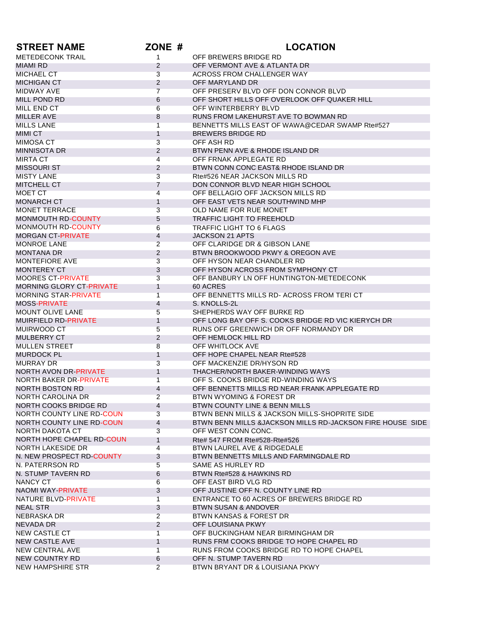| <b>STREET NAME</b>                           | ZONE #                           | <b>LOCATION</b>                                           |
|----------------------------------------------|----------------------------------|-----------------------------------------------------------|
| <b>METEDECONK TRAIL</b>                      | $\mathbf{1}$                     | OFF BREWERS BRIDGE RD                                     |
| <b>MIAMI RD</b>                              | 2                                | OFF VERMONT AVE & ATLANTA DR                              |
| <b>MICHAEL CT</b>                            | 3                                | ACROSS FROM CHALLENGER WAY                                |
| <b>MICHIGAN CT</b>                           | $\overline{2}$                   | OFF MARYLAND DR                                           |
| <b>MIDWAY AVE</b>                            | $\overline{7}$                   | OFF PRESERV BLVD OFF DON CONNOR BLVD                      |
| MILL POND RD                                 | 6                                | OFF SHORT HILLS OFF OVERLOOK OFF QUAKER HILL              |
| MILL END CT                                  | 6                                | OFF WINTERBERRY BLVD                                      |
| <b>MILLER AVE</b>                            | 8                                | RUNS FROM LAKEHURST AVE TO BOWMAN RD                      |
| <b>MILLS LANE</b>                            | $\overline{1}$                   | BENNETTS MILLS EAST OF WAWA@CEDAR SWAMP Rte#527           |
| <b>MIMI CT</b>                               | $\mathbf{1}$                     | <b>BREWERS BRIDGE RD</b>                                  |
| <b>MIMOSA CT</b>                             | 3                                | OFF ASH RD                                                |
| MINNISOTA DR                                 | $\overline{2}$                   | BTWN PENN AVE & RHODE ISLAND DR                           |
| <b>MIRTA CT</b>                              | $\overline{4}$                   | OFF FRNAK APPLEGATE RD                                    |
| <b>MISSOURI ST</b>                           | $\overline{2}$                   | BTWN CONN CONC EAST& RHODE ISLAND DR                      |
| <b>MISTY LANE</b>                            | 3                                | Rte#526 NEAR JACKSON MILLS RD                             |
| <b>MITCHELL CT</b>                           | 7                                | DON CONNOR BLVD NEAR HIGH SCHOOL                          |
| MOET CT                                      | 4                                | OFF BELLAGIO OFF JACKSON MILLS RD                         |
| <b>MONARCH CT</b>                            | $\mathbf{1}$                     | OFF EAST VETS NEAR SOUTHWIND MHP                          |
| <b>MONET TERRACE</b>                         | 3                                | OLD NAME FOR RUE MONET                                    |
| <b>MONMOUTH RD-COUNTY</b>                    | 5                                | <b>TRAFFIC LIGHT TO FREEHOLD</b>                          |
| <b>MONMOUTH RD-COUNTY</b>                    | 6                                | <b>TRAFFIC LIGHT TO 6 FLAGS</b>                           |
| <b>MORGAN CT-PRIVATE</b>                     | 4                                | <b>JACKSON 21 APTS</b>                                    |
| <b>MONROE LANE</b>                           | $\overline{2}$                   | OFF CLARIDGE DR & GIBSON LANE                             |
| <b>MONTANA DR</b>                            | 2                                | BTWN BROOKWOOD PKWY & OREGON AVE                          |
| <b>MONTEFIORE AVE</b>                        | 3                                | OFF HYSON NEAR CHANDLER RD                                |
| <b>MONTEREY CT</b>                           | 3                                | OFF HYSON ACROSS FROM SYMPHONY CT                         |
| <b>MOORES CT-PRIVATE</b>                     | 3                                | OFF BANBURY LN OFF HUNTINGTON-METEDECONK                  |
| <b>MORNING GLORY CT-PRIVATE</b>              | $\mathbf{1}$                     | 60 ACRES                                                  |
| <b>MORNING STAR-PRIVATE</b>                  | 1                                | OFF BENNETTS MILLS RD- ACROSS FROM TERICT                 |
| <b>MOSS-PRIVATE</b>                          | 4                                | S. KNOLLS-2L                                              |
| <b>MOUNT OLIVE LANE</b>                      | 5                                | SHEPHERDS WAY OFF BURKE RD                                |
| <b>MUIRFIELD RD-PRIVATE</b>                  | $\mathbf{1}$                     | OFF LONG BAY OFF S. COOKS BRIDGE RD VIC KIERYCH DR        |
| MUIRWOOD CT                                  | 5                                | RUNS OFF GREENWICH DR OFF NORMANDY DR                     |
| <b>MULBERRY CT</b>                           | 2                                | OFF HEMLOCK HILL RD                                       |
| <b>MULLEN STREET</b>                         | 8                                | OFF WHITLOCK AVE                                          |
| <b>MURDOCK PL</b>                            | 1                                | OFF HOPE CHAPEL NEAR Rte#528                              |
| <b>MURRAY DR</b>                             | 3                                | OFF MACKENZIE DR/HYSON RD                                 |
| NORTH AVON DR-PRIVATE                        | $\mathbf{1}$                     | THACHER/NORTH BAKER-WINDING WAYS                          |
| <b>NORTH BAKER DR-PRIVATE</b>                | 1                                | OFF S. COOKS BRIDGE RD-WINDING WAYS                       |
| <b>NORTH BOSTON RD</b>                       | 4                                | OFF BENNETTS MILLS RD NEAR FRANK APPLEGATE RD             |
| NORTH CAROLINA DR                            | $\overline{2}$                   | BTWN WYOMING & FOREST DR                                  |
| NORTH COOKS BRIDGE RD                        | 4                                | BTWN COUNTY LINE & BENN MILLS                             |
| NORTH COUNTY LINE RD-COUN                    | 3                                | BTWN BENN MILLS & JACKSON MILLS-SHOPRITE SIDE             |
| NORTH COUNTY LINE RD-COUN                    | 4                                | BTWN BENN MILLS &JACKSON MILLS RD-JACKSON FIRE HOUSE SIDE |
| NORTH DAKOTA CT                              | 3                                | OFF WEST CONN CONC.                                       |
| NORTH HOPE CHAPEL RD-COUN                    | $\mathbf{1}$                     | Rte# 547 FROM Rte#528-Rte#526                             |
| <b>NORTH LAKESIDE DR</b>                     | 4                                | BTWN LAUREL AVE & RIDGEDALE                               |
| N. NEW PROSPECT RD-COUNTY<br>N. PATERRSON RD | 3                                | BTWN BENNETTS MILLS AND FARMINGDALE RD                    |
|                                              | 5                                | SAME AS HURLEY RD<br>BTWN Rte#528 & HAWKINS RD            |
| N. STUMP TAVERN RD<br><b>NANCY CT</b>        | 6                                | OFF EAST BIRD VLG RD                                      |
|                                              | 6                                | OFF JUSTINE OFF N. COUNTY LINE RD                         |
| NAOMI WAY-PRIVATE<br>NATURE BLVD-PRIVATE     | 3<br>$\overline{1}$              | ENTRANCE TO 60 ACRES OF BREWERS BRIDGE RD                 |
|                                              |                                  |                                                           |
| <b>NEAL STR</b>                              | 3                                | <b>BTWN SUSAN &amp; ANDOVER</b>                           |
| NEBRASKA DR<br>NEVADA DR                     | $\overline{2}$<br>$\overline{2}$ | BTWN KANSAS & FOREST DR<br>OFF LOUISIANA PKWY             |
| <b>NEW CASTLE CT</b>                         | $\mathbf{1}$                     | OFF BUCKINGHAM NEAR BIRMINGHAM DR                         |
| <b>NEW CASTLE AVE</b>                        | 1                                | RUNS FRM COOKS BRIDGE TO HOPE CHAPEL RD                   |
| <b>NEW CENTRAL AVE</b>                       | 1                                | RUNS FROM COOKS BRIDGE RD TO HOPE CHAPEL                  |
| NEW COUNTRY RD                               | 6                                | OFF N. STUMP TAVERN RD                                    |
| NEW HAMPSHIRE STR                            | $\overline{2}$                   | BTWN BRYANT DR & LOUISIANA PKWY                           |
|                                              |                                  |                                                           |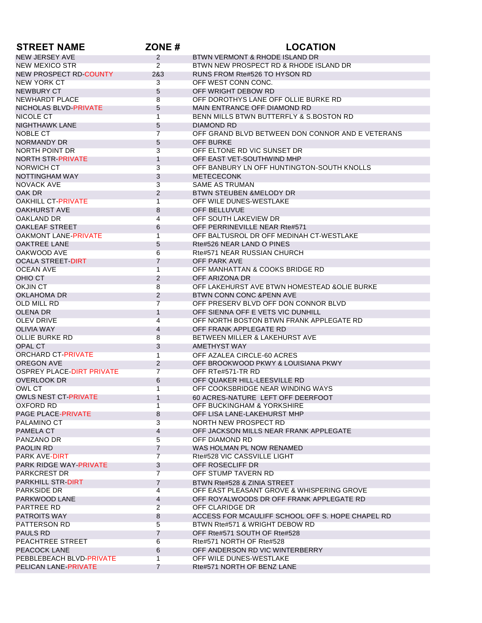| <b>STREET NAME</b>                       | ZONE#                            | <b>LOCATION</b>                                                           |
|------------------------------------------|----------------------------------|---------------------------------------------------------------------------|
| NEW JERSEY AVE                           | $\overline{2}$                   | BTWN VERMONT & RHODE ISLAND DR                                            |
| <b>NEW MEXICO STR</b>                    | $\overline{2}$                   | BTWN NEW PROSPECT RD & RHODE ISLAND DR                                    |
| NEW PROSPECT RD-COUNTY                   | 2&3                              | RUNS FROM Rte#526 TO HYSON RD                                             |
| NEW YORK CT                              | 3                                | OFF WEST CONN CONC.                                                       |
| NEWBURY CT                               | 5                                | OFF WRIGHT DEBOW RD                                                       |
| NEWHARDT PLACE                           | 8                                | OFF DOROTHYS LANE OFF OLLIE BURKE RD                                      |
| NICHOLAS BLVD-PRIVATE                    | 5                                | MAIN ENTRANCE OFF DIAMOND RD                                              |
| NICOLE CT                                | $\overline{1}$                   | BENN MILLS BTWN BUTTERFLY & S.BOSTON RD                                   |
| <b>NIGHTHAWK LANE</b>                    | 5                                | DIAMOND RD                                                                |
| NOBLE CT                                 | $\overline{7}$                   | OFF GRAND BLVD BETWEEN DON CONNOR AND E VETERANS                          |
| NORMANDY DR                              | 5                                | OFF BURKE                                                                 |
| NORTH POINT DR                           | 3                                | OFF ELTONE RD VIC SUNSET DR                                               |
| NORTH STR-PRIVATE                        | 1                                | OFF EAST VET-SOUTHWIND MHP                                                |
| NORWICH CT                               | 3                                | OFF BANBURY LN OFF HUNTINGTON-SOUTH KNOLLS                                |
| NOTTINGHAM WAY                           | 3                                | <b>METECECONK</b>                                                         |
| <b>NOVACK AVE</b>                        | 3                                | <b>SAME AS TRUMAN</b>                                                     |
| OAK DR                                   | 2                                | <b>BTWN STEUBEN &amp;MELODY DR</b>                                        |
| <b>OAKHILL CT-PRIVATE</b>                | $\mathbf{1}$                     | OFF WILE DUNES-WESTLAKE                                                   |
| <b>OAKHURST AVE</b>                      | 8                                | <b>OFF BELLUVUE</b>                                                       |
| OAKLAND DR                               | $\overline{4}$                   | OFF SOUTH LAKEVIEW DR                                                     |
| <b>OAKLEAF STREET</b>                    | 6                                | OFF PERRINEVILLE NEAR Rte#571                                             |
| <b>OAKMONT LANE-PRIVATE</b>              | 1                                | OFF BALTUSROL DR OFF MEDINAH CT-WESTLAKE                                  |
| <b>OAKTREE LANE</b>                      | 5                                | Rte#526 NEAR LAND O PINES                                                 |
| OAKWOOD AVE                              | 6                                | Rte#571 NEAR RUSSIAN CHURCH                                               |
| <b>OCALA STREET-DIRT</b>                 | $\overline{7}$                   | OFF PARK AVE                                                              |
| <b>OCEAN AVE</b>                         | $\overline{1}$                   | OFF MANHATTAN & COOKS BRIDGE RD                                           |
| OHIO CT                                  | $\overline{2}$                   | OFF ARIZONA DR                                                            |
| <b>OKJIN CT</b>                          | 8                                | OFF LAKEHURST AVE BTWN HOMESTEAD & OLIE BURKE                             |
| OKLAHOMA DR                              | 2                                | BTWN CONN CONC & PENN AVE                                                 |
| <b>OLD MILL RD</b>                       | $\overline{7}$                   | OFF PRESERV BLVD OFF DON CONNOR BLVD                                      |
| <b>OLENA DR</b>                          | $\mathbf{1}$                     | OFF SIENNA OFF E VETS VIC DUNHILL                                         |
| <b>OLEV DRIVE</b>                        | 4                                | OFF NORTH BOSTON BTWN FRANK APPLEGATE RD                                  |
| <b>OLIVIA WAY</b>                        | 4                                | OFF FRANK APPLEGATE RD                                                    |
| <b>OLLIE BURKE RD</b>                    | 8                                | BETWEEN MILLER & LAKEHURST AVE                                            |
| OPAL CT                                  | 3                                | <b>AMETHYST WAY</b>                                                       |
| <b>ORCHARD CT-PRIVATE</b>                | $\mathbf{1}$                     | OFF AZALEA CIRCLE-60 ACRES                                                |
| <b>OREGON AVE</b>                        | $\overline{2}$                   | OFF BROOKWOOD PKWY & LOUISIANA PKWY                                       |
| <b>OSPREY PLACE-DIRT PRIVATE</b>         | $\overline{7}$                   | OFF RTe#571-TR RD                                                         |
| <b>OVERLOOK DR</b>                       | 6                                | OFF QUAKER HILL-LEESVILLE RD                                              |
| <b>OWL CT</b>                            | 1                                | OFF COOKSBRIDGE NEAR WINDING WAYS                                         |
| <b>OWLS NEST CT-PRIVATE</b>              | $\mathbf 1$                      | 60 ACRES-NATURE LEFT OFF DEERFOOT                                         |
| <b>OXFORD RD</b>                         | $\overline{1}$                   | OFF BUCKINGHAM & YORKSHIRE                                                |
| PAGE PLACE-PRIVATE                       | 8                                | OFF LISA LANE-LAKEHURST MHP                                               |
| PALAMINO CT                              | 3                                | NORTH NEW PROSPECT RD                                                     |
| PAMELA CT                                | 4                                | OFF JACKSON MILLS NEAR FRANK APPLEGATE                                    |
| PANZANO DR                               | 5                                | OFF DIAMOND RD                                                            |
| <b>PAOLIN RD</b><br><b>PARK AVE-DIRT</b> | $\overline{7}$<br>$\overline{7}$ | WAS HOLMAN PL NOW RENAMED<br>Rte#528 VIC CASSVILLE LIGHT                  |
| <b>PARK RIDGE WAY-PRIVATE</b>            | 3                                | OFF ROSECLIFF DR                                                          |
| <b>PARKCREST DR</b>                      | $\overline{7}$                   | OFF STUMP TAVERN RD                                                       |
| PARKHILL STR-DIRT                        | $\overline{7}$                   |                                                                           |
| <b>PARKSIDE DR</b>                       | 4                                | BTWN Rte#528 & ZINIA STREET<br>OFF EAST PLEASANT GROVE & WHISPERING GROVE |
| PARKWOOD LANE                            | 4                                | OFF ROYALWOODS DR OFF FRANK APPLEGATE RD                                  |
| PARTREE RD                               | $\overline{2}$                   | OFF CLARIDGE DR                                                           |
| <b>PATROITS WAY</b>                      | 8                                | ACCESS FOR MCAULIFF SCHOOL OFF S. HOPE CHAPEL RD                          |
| PATTERSON RD                             | 5                                | BTWN Rte#571 & WRIGHT DEBOW RD                                            |
| PAULS RD                                 | $\overline{7}$                   | OFF Rte#571 SOUTH OF Rte#528                                              |
| PEACHTREE STREET                         | 6                                | Rte#571 NORTH OF Rte#528                                                  |
| PEACOCK LANE                             | 6                                | OFF ANDERSON RD VIC WINTERBERRY                                           |
| PEBBLEBEACH BLVD-PRIVATE                 | 1                                | OFF WILE DUNES-WESTLAKE                                                   |
| <b>PELICAN LANE-PRIVATE</b>              | $\overline{7}$                   | Rte#571 NORTH OF BENZ LANE                                                |
|                                          |                                  |                                                                           |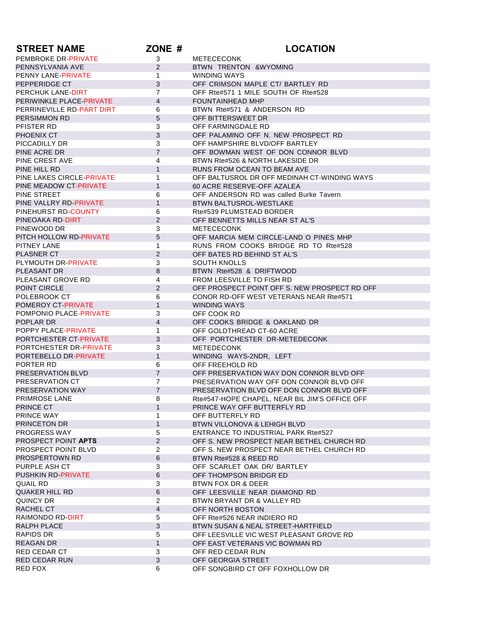| <b>STREET NAME</b>                              | ZONE #            | <b>LOCATION</b>                                |
|-------------------------------------------------|-------------------|------------------------------------------------|
| PEMBROKE DR-PRIVATE                             | 3                 | <b>METECECONK</b>                              |
| PENNSYLVANIA AVE                                | $\overline{2}$    | BTWN TRENTON & WYOMING                         |
| PENNY LANE-PRIVATE                              | 1                 | <b>WINDING WAYS</b>                            |
| PEPPERIDGE CT                                   | 3                 | OFF CRIMSON MAPLE CT/ BARTLEY RD               |
| PERCHUK LANE-DIRT                               | 7                 | OFF Rte#571 1 MILE SOUTH OF Rte#528            |
| PERIWINKLE PLACE-PRIVATE                        | $\overline{4}$    | <b>FOUNTAINHEAD MHP</b>                        |
| PERRINEVILLE RD-PART DIRT                       | 6                 | BTWN Rte#571 & ANDERSON RD                     |
| <b>PERSIMMON RD</b>                             | 5                 | OFF BITTERSWEET DR                             |
| PFISTER RD                                      | 3                 | OFF FARMINGDALE RD                             |
| PHOENIX CT                                      | 3                 | OFF PALAMINO OFF N. NEW PROSPECT RD            |
| PICCADILLY DR                                   | 3                 | OFF HAMPSHIRE BLVD/OFF BARTLEY                 |
| PINE ACRE DR                                    | $\overline{7}$    | OFF BOWMAN WEST OF DON CONNOR BLVD             |
| PINE CREST AVE                                  | 4                 | BTWN Rte#526 & NORTH LAKESIDE DR               |
| PINE HILL RD                                    | $\mathbf{1}$      | RUNS FROM OCEAN TO BEAM AVE                    |
| PINE LAKES CIRCLE-PRIVATE                       | 1                 | OFF BALTUSROL DR OFF MEDINAH CT-WINDING WAYS   |
| PINE MEADOW CT-PRIVATE                          | $\mathbf{1}$      | 60 ACRE RESERVE-OFF AZALEA                     |
| PINE STREET                                     | 6                 | OFF ANDERSON RD was called Burke Tavern        |
| PINE VALLRY RD-PRIVATE                          | $\mathbf{1}$      | BTWN BALTUSROL-WESTLAKE                        |
| PINEHURST RD-COUNTY                             | 6                 | Rte#539 PLUMSTEAD BORDER                       |
| PINEOAKA RD-DIRT                                | $\overline{2}$    | OFF BENNETTS MILLS NEAR ST AL'S                |
| PINEWOOD DR                                     | 3                 | <b>METECECONK</b>                              |
| PITCH HOLLOW RD-PRIVATE                         | 5                 | OFF MARCIA MEM CIRCLE-LAND O PINES MHP         |
| PITNEY LANE                                     | $\mathbf{1}$      | RUNS FROM COOKS BRIDGE RD TO Rte#528           |
| <b>PLASNER CT</b>                               | $\overline{2}$    | OFF BATES RD BEHIND ST AL'S                    |
| PLYMOUTH DR-PRIVATE                             | 3                 | <b>SOUTH KNOLLS</b>                            |
| PLEASANT DR                                     | 8                 | BTWN Rte#528 & DRIFTWOOD                       |
| PLEASANT GROVE RD                               | 4                 | FROM LEESVILLE TO FISH RD                      |
| POINT CIRCLE                                    | $\overline{2}$    | OFF PROSPECT POINT OFF S. NEW PROSPECT RD OFF  |
| POLEBROOK CT                                    | 6                 | CONOR RD-OFF WEST VETERANS NEAR Rte#571        |
| POMEROY CT-PRIVATE                              | $\mathbf{1}$      | <b>WINDING WAYS</b>                            |
| POMPONIO PLACE-PRIVATE                          | 3                 | OFF COOK RD                                    |
| POPLAR DR                                       | 4                 | OFF COOKS BRIDGE & OAKLAND DR                  |
| POPPY PLACE-PRIVATE                             | 1                 | OFF GOLDTHREAD CT-60 ACRE                      |
| PORTCHESTER CT-PRIVATE                          | 3                 | OFF PORTCHESTER DR-METEDECONK                  |
| PORTCHESTER DR-PRIVATE<br>PORTEBELLO DR-PRIVATE | 3<br>$\mathbf{1}$ | <b>METEDECONK</b>                              |
| PORTER RD                                       | 6                 | WINDING WAYS-2NDR, LEFT<br>OFF FREEHOLD RD     |
| PRESERVATION BLVD                               | $\overline{7}$    | OFF PRESERVATION WAY DON CONNOR BLVD OFF       |
| PRESERVATION CT                                 | $\overline{7}$    | PRESERVATION WAY OFF DON CONNOR BLVD OFF       |
| PRESERVATION WAY                                | $\overline{7}$    | PRESERVATION BLVD OFF DON CONNOR BLVD OFF      |
| PRIMROSE LANE                                   | 8                 | Rte#547-HOPE CHAPEL, NEAR BIL JIM'S OFFICE OFF |
| PRINCE CT                                       | $\mathbf{1}$      | PRINCE WAY OFF BUTTERFLY RD                    |
| PRINCE WAY                                      | 1                 | OFF BUTTERFLY RD                               |
| PRINCETON DR                                    | $\mathbf{1}$      | BTWN VILLONOVA & LEHIGH BLVD                   |
| PROGRESS WAY                                    | 5                 | <b>ENTRANCE TO INDUSTRIAL PARK Rte#527</b>     |
| PROSPECT POINT APTS                             | $\overline{2}$    | OFF S. NEW PROSPECT NEAR BETHEL CHURCH RD      |
| PROSPECT POINT BLVD                             | $\overline{2}$    | OFF S. NEW PROSPECT NEAR BETHEL CHURCH RD      |
| <b>PROSPERTOWN RD</b>                           | 6                 | BTWN Rte#528 & REED RD                         |
| PURPLE ASH CT                                   | 3                 | OFF SCARLET OAK DR/ BARTLEY                    |
| PUSHKIN RD-PRIVATE                              | 6                 | OFF THOMPSON BRIDGR ED                         |
| QUAIL RD                                        | 3                 | BTWN FOX DR & DEER                             |
| <b>QUAKER HILL RD</b>                           | $\,6\,$           | OFF LEESVILLE NEAR DIAMOND RD                  |
| <b>QUINCY DR</b>                                | $\overline{2}$    | BTWN BRYANT DR & VALLEY RD                     |
| RACHEL CT                                       | $\overline{4}$    | OFF NORTH BOSTON                               |
| RAIMONDO RD-DIRT                                | 5                 | OFF Rte#526 NEAR INDIERO RD                    |
| RALPH PLACE                                     | 3                 | BTWN SUSAN & NEAL STREET-HARTFIELD             |
| <b>RAPIDS DR</b>                                | 5                 | OFF LEESVILLE VIC WEST PLEASANT GROVE RD       |
| <b>REAGAN DR</b>                                | $\mathbf{1}$      | OFF EAST VETERANS VIC BOWMAN RD                |
| RED CEDAR CT                                    | 3                 | OFF RED CEDAR RUN                              |
| <b>RED CEDAR RUN</b>                            | $\mathbf{3}$      | OFF GEORGIA STREET                             |
| RED FOX                                         | 6                 | OFF SONGBIRD CT OFF FOXHOLLOW DR               |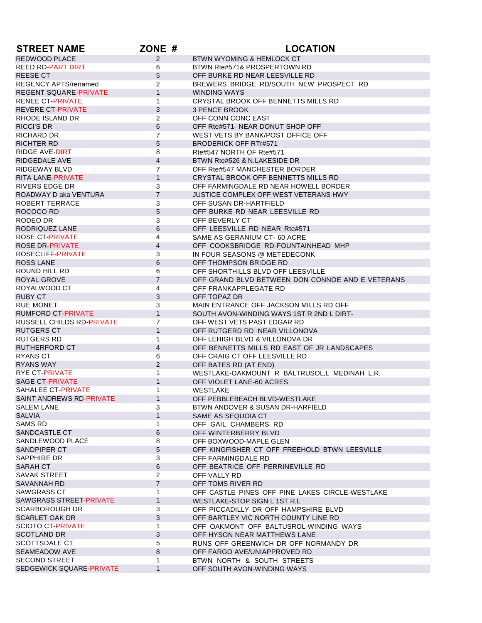| <b>REDWOOD PLACE</b><br>$\overline{2}$<br><b>BTWN WYOMING &amp; HEMLOCK CT</b><br><b>REED RD-PART DIRT</b><br>BTWN Rte#571& PROSPERTOWN RD<br>6<br>5<br>OFF BURKE RD NEAR LEESVILLE RD<br>REESE CT<br>$\overline{2}$<br>BREWERS BRIDGE RD/SOUTH NEW PROSPECT RD<br><b>REGENCY APTS/renamed</b><br>$\mathbf{1}$<br><b>REGENT SQUARE-PRIVATE</b><br><b>WINDING WAYS</b><br><b>RENEE CT-PRIVATE</b><br>1<br>CRYSTAL BROOK OFF BENNETTS MILLS RD<br><b>REVERE CT-PRIVATE</b><br>3<br><b>3 PENCE BROOK</b><br>2<br>RHODE ISLAND DR<br>OFF CONN CONC EAST<br><b>RICCI'S DR</b><br>6<br>OFF Rte#571- NEAR DONUT SHOP OFF<br>$\overline{7}$<br>RICHARD DR<br>WEST VETS BY BANK/POST OFFICE OFF<br>5<br><b>RICHTER RD</b><br><b>BRODERICK OFF RTr#571</b><br>Rte#547 NORTH OF Rte#571<br>RIDGE AVE-DIRT<br>8<br>4<br>RIDGEDALE AVE<br>BTWN Rte#526 & N.LAKESIDE DR<br><b>RIDGEWAY BLVD</b><br>$\overline{7}$<br>OFF Rte#547 MANCHESTER BORDER<br>$\mathbf{1}$<br><b>RITA LANE-PRIVATE</b><br>CRYSTAL BROOK OFF BENNETTS MILLS RD<br>RIVERS EDGE DR<br>3<br>OFF FARMINGDALE RD NEAR HOWELL BORDER<br>$\overline{7}$<br>ROADWAY D aka VENTURA<br>JUSTICE COMPLEX OFF WEST VETERANS HWY<br>ROBERT TERRACE<br>3<br>OFF SUSAN DR-HARTFIELD<br>5<br>OFF BURKE RD NEAR LEESVILLE RD<br>ROCOCO RD<br>RODEO DR<br>3<br>OFF BEVERLY CT<br>6<br>RODRIQUEZ LANE<br>OFF LEESVILLE RD NEAR Rte#571<br><b>ROSE CT-PRIVATE</b><br>4<br>SAME AS GERANIUM CT-60 ACRE<br>4<br><b>ROSE DR-PRIVATE</b><br>OFF COOKSBRIDGE RD-FOUNTAINHEAD MHP<br><b>ROSECLIFF-PRIVATE</b><br>3<br>IN FOUR SEASONS @ METEDECONK<br>6<br><b>ROSS LANE</b><br>OFF THOMPSON BRIDGE RD<br>6<br>ROUND HILL RD<br>OFF SHORTHILLS BLVD OFF LEESVILLE<br>$\overline{7}$<br>ROYAL GROVE<br>OFF GRAND BLVD BETWEEN DON CONNOE AND E VETERANS<br>ROYALWOOD CT<br>4<br>OFF FRANKAPPLEGATE RD<br><b>RUBY CT</b><br>3<br>OFF TOPAZ DR<br>MAIN ENTRANCE OFF JACKSON MILLS RD OFF<br><b>RUE MONET</b><br>3<br>$\mathbf{1}$<br><b>RUMFORD CT-PRIVATE</b><br>SOUTH AVON-WINDING WAYS 1ST R 2ND L DIRT-<br>RUSSELL CHILDS RD-PRIVATE<br>7<br>OFF WEST VETS PAST EDGAR RD<br>$\mathbf{1}$<br><b>RUTGERS CT</b><br>OFF RUTGERD RD NEAR VILLONOVA<br>RUTGERS RD<br>1<br>OFF LEHIGH BLVD & VILLONOVA DR<br><b>RUTHERFORD CT</b><br>$\overline{4}$<br>OFF BENNETTS MILLS RD EAST OF JR LANDSCAPES<br><b>RYANS CT</b><br>OFF CRAIG CT OFF LEESVILLE RD<br>6<br>2<br><b>RYANS WAY</b><br>OFF BATES RD (AT END)<br><b>RYE CT-PRIVATE</b><br>1<br>WESTLAKE-OAKMOUNT R BALTRUSOL,L MEDINAH L,R.<br><b>SAGE CT-PRIVATE</b><br>$\mathbf{1}$<br>OFF VIOLET LANE-60 ACRES<br>SAHALEE CT-PRIVATE<br>1<br><b>WESTLAKE</b><br>SAINT ANDREWS RD-PRIVATE<br>$\mathbf{1}$<br>OFF PEBBLEBEACH BLVD-WESTLAKE<br>3<br>SALEM LANE<br>BTWN ANDOVER & SUSAN DR-HARFIELD<br>1<br><b>SALVIA</b><br>SAME AS SEQUOIA CT<br>SAMS RD<br>1<br>OFF GAIL CHAMBERS RD<br>6<br>SANDCASTLE CT<br>OFF WINTERBERRY BLVD<br>SANDLEWOOD PLACE<br>8<br>OFF BOXWOOD-MAPLE GLEN<br>5<br>SANDPIPER CT<br>OFF KINGFISHER CT OFF FREEHOLD BTWN LEESVILLE<br>SAPPHIRE DR<br>3<br>OFF FARMINGDALE RD<br>6<br><b>SARAH CT</b><br>OFF BEATRICE OFF PERRINEVILLE RD<br><b>SAVAK STREET</b><br>$\overline{2}$<br>OFF VALLY RD<br>$\overline{7}$<br>SAVANNAH RD<br>OFF TOMS RIVER RD<br>SAWGRASS CT<br>1<br>OFF CASTLE PINES OFF PINE LAKES CIRCLE-WESTLAKE<br>$\mathbf{1}$<br>SAWGRASS STREET-PRIVATE<br>WESTLAKE-STOP SIGN L 1ST R.L<br><b>SCARBOROUGH DR</b><br>3<br>OFF PICCADILLY DR OFF HAMPSHIRE BLVD<br>3<br><b>SCARLET OAK DR</b><br>OFF BARTLEY VIC NORTH COUNTY LINE RD<br><b>SCIOTO CT-PRIVATE</b><br>1<br>OFF OAKMONT OFF BALTUSROL-WINDING WAYS<br>3<br><b>SCOTLAND DR</b><br>OFF HYSON NEAR MATTHEWS LANE<br>SCOTTSDALE CT<br>5<br>RUNS OFF GREENWICH DR OFF NORMANDY DR<br><b>SEAMEADOW AVE</b><br>8<br>OFF FARGO AVE/UNIAPPROVED RD<br><b>SECOND STREET</b><br>1<br>BTWN NORTH & SOUTH STREETS<br>SEDGEWICK SQUARE-PRIVATE<br>$\mathbf{1}$<br>OFF SOUTH AVON-WINDING WAYS | <b>STREET NAME</b> | ZONE # | <b>LOCATION</b> |
|-------------------------------------------------------------------------------------------------------------------------------------------------------------------------------------------------------------------------------------------------------------------------------------------------------------------------------------------------------------------------------------------------------------------------------------------------------------------------------------------------------------------------------------------------------------------------------------------------------------------------------------------------------------------------------------------------------------------------------------------------------------------------------------------------------------------------------------------------------------------------------------------------------------------------------------------------------------------------------------------------------------------------------------------------------------------------------------------------------------------------------------------------------------------------------------------------------------------------------------------------------------------------------------------------------------------------------------------------------------------------------------------------------------------------------------------------------------------------------------------------------------------------------------------------------------------------------------------------------------------------------------------------------------------------------------------------------------------------------------------------------------------------------------------------------------------------------------------------------------------------------------------------------------------------------------------------------------------------------------------------------------------------------------------------------------------------------------------------------------------------------------------------------------------------------------------------------------------------------------------------------------------------------------------------------------------------------------------------------------------------------------------------------------------------------------------------------------------------------------------------------------------------------------------------------------------------------------------------------------------------------------------------------------------------------------------------------------------------------------------------------------------------------------------------------------------------------------------------------------------------------------------------------------------------------------------------------------------------------------------------------------------------------------------------------------------------------------------------------------------------------------------------------------------------------------------------------------------------------------------------------------------------------------------------------------------------------------------------------------------------------------------------------------------------------------------------------------------------------------------------------------------------------------------------------------------------------------------------------------------------------------------------------------------------------------------------------------------------------------------------------------------------------------------------------------------------------------------------------------------------------------------------------------------------------------------------------------------|--------------------|--------|-----------------|
|                                                                                                                                                                                                                                                                                                                                                                                                                                                                                                                                                                                                                                                                                                                                                                                                                                                                                                                                                                                                                                                                                                                                                                                                                                                                                                                                                                                                                                                                                                                                                                                                                                                                                                                                                                                                                                                                                                                                                                                                                                                                                                                                                                                                                                                                                                                                                                                                                                                                                                                                                                                                                                                                                                                                                                                                                                                                                                                                                                                                                                                                                                                                                                                                                                                                                                                                                                                                                                                                                                                                                                                                                                                                                                                                                                                                                                                                                                                                                                   |                    |        |                 |
|                                                                                                                                                                                                                                                                                                                                                                                                                                                                                                                                                                                                                                                                                                                                                                                                                                                                                                                                                                                                                                                                                                                                                                                                                                                                                                                                                                                                                                                                                                                                                                                                                                                                                                                                                                                                                                                                                                                                                                                                                                                                                                                                                                                                                                                                                                                                                                                                                                                                                                                                                                                                                                                                                                                                                                                                                                                                                                                                                                                                                                                                                                                                                                                                                                                                                                                                                                                                                                                                                                                                                                                                                                                                                                                                                                                                                                                                                                                                                                   |                    |        |                 |
|                                                                                                                                                                                                                                                                                                                                                                                                                                                                                                                                                                                                                                                                                                                                                                                                                                                                                                                                                                                                                                                                                                                                                                                                                                                                                                                                                                                                                                                                                                                                                                                                                                                                                                                                                                                                                                                                                                                                                                                                                                                                                                                                                                                                                                                                                                                                                                                                                                                                                                                                                                                                                                                                                                                                                                                                                                                                                                                                                                                                                                                                                                                                                                                                                                                                                                                                                                                                                                                                                                                                                                                                                                                                                                                                                                                                                                                                                                                                                                   |                    |        |                 |
|                                                                                                                                                                                                                                                                                                                                                                                                                                                                                                                                                                                                                                                                                                                                                                                                                                                                                                                                                                                                                                                                                                                                                                                                                                                                                                                                                                                                                                                                                                                                                                                                                                                                                                                                                                                                                                                                                                                                                                                                                                                                                                                                                                                                                                                                                                                                                                                                                                                                                                                                                                                                                                                                                                                                                                                                                                                                                                                                                                                                                                                                                                                                                                                                                                                                                                                                                                                                                                                                                                                                                                                                                                                                                                                                                                                                                                                                                                                                                                   |                    |        |                 |
|                                                                                                                                                                                                                                                                                                                                                                                                                                                                                                                                                                                                                                                                                                                                                                                                                                                                                                                                                                                                                                                                                                                                                                                                                                                                                                                                                                                                                                                                                                                                                                                                                                                                                                                                                                                                                                                                                                                                                                                                                                                                                                                                                                                                                                                                                                                                                                                                                                                                                                                                                                                                                                                                                                                                                                                                                                                                                                                                                                                                                                                                                                                                                                                                                                                                                                                                                                                                                                                                                                                                                                                                                                                                                                                                                                                                                                                                                                                                                                   |                    |        |                 |
|                                                                                                                                                                                                                                                                                                                                                                                                                                                                                                                                                                                                                                                                                                                                                                                                                                                                                                                                                                                                                                                                                                                                                                                                                                                                                                                                                                                                                                                                                                                                                                                                                                                                                                                                                                                                                                                                                                                                                                                                                                                                                                                                                                                                                                                                                                                                                                                                                                                                                                                                                                                                                                                                                                                                                                                                                                                                                                                                                                                                                                                                                                                                                                                                                                                                                                                                                                                                                                                                                                                                                                                                                                                                                                                                                                                                                                                                                                                                                                   |                    |        |                 |
|                                                                                                                                                                                                                                                                                                                                                                                                                                                                                                                                                                                                                                                                                                                                                                                                                                                                                                                                                                                                                                                                                                                                                                                                                                                                                                                                                                                                                                                                                                                                                                                                                                                                                                                                                                                                                                                                                                                                                                                                                                                                                                                                                                                                                                                                                                                                                                                                                                                                                                                                                                                                                                                                                                                                                                                                                                                                                                                                                                                                                                                                                                                                                                                                                                                                                                                                                                                                                                                                                                                                                                                                                                                                                                                                                                                                                                                                                                                                                                   |                    |        |                 |
|                                                                                                                                                                                                                                                                                                                                                                                                                                                                                                                                                                                                                                                                                                                                                                                                                                                                                                                                                                                                                                                                                                                                                                                                                                                                                                                                                                                                                                                                                                                                                                                                                                                                                                                                                                                                                                                                                                                                                                                                                                                                                                                                                                                                                                                                                                                                                                                                                                                                                                                                                                                                                                                                                                                                                                                                                                                                                                                                                                                                                                                                                                                                                                                                                                                                                                                                                                                                                                                                                                                                                                                                                                                                                                                                                                                                                                                                                                                                                                   |                    |        |                 |
|                                                                                                                                                                                                                                                                                                                                                                                                                                                                                                                                                                                                                                                                                                                                                                                                                                                                                                                                                                                                                                                                                                                                                                                                                                                                                                                                                                                                                                                                                                                                                                                                                                                                                                                                                                                                                                                                                                                                                                                                                                                                                                                                                                                                                                                                                                                                                                                                                                                                                                                                                                                                                                                                                                                                                                                                                                                                                                                                                                                                                                                                                                                                                                                                                                                                                                                                                                                                                                                                                                                                                                                                                                                                                                                                                                                                                                                                                                                                                                   |                    |        |                 |
|                                                                                                                                                                                                                                                                                                                                                                                                                                                                                                                                                                                                                                                                                                                                                                                                                                                                                                                                                                                                                                                                                                                                                                                                                                                                                                                                                                                                                                                                                                                                                                                                                                                                                                                                                                                                                                                                                                                                                                                                                                                                                                                                                                                                                                                                                                                                                                                                                                                                                                                                                                                                                                                                                                                                                                                                                                                                                                                                                                                                                                                                                                                                                                                                                                                                                                                                                                                                                                                                                                                                                                                                                                                                                                                                                                                                                                                                                                                                                                   |                    |        |                 |
|                                                                                                                                                                                                                                                                                                                                                                                                                                                                                                                                                                                                                                                                                                                                                                                                                                                                                                                                                                                                                                                                                                                                                                                                                                                                                                                                                                                                                                                                                                                                                                                                                                                                                                                                                                                                                                                                                                                                                                                                                                                                                                                                                                                                                                                                                                                                                                                                                                                                                                                                                                                                                                                                                                                                                                                                                                                                                                                                                                                                                                                                                                                                                                                                                                                                                                                                                                                                                                                                                                                                                                                                                                                                                                                                                                                                                                                                                                                                                                   |                    |        |                 |
|                                                                                                                                                                                                                                                                                                                                                                                                                                                                                                                                                                                                                                                                                                                                                                                                                                                                                                                                                                                                                                                                                                                                                                                                                                                                                                                                                                                                                                                                                                                                                                                                                                                                                                                                                                                                                                                                                                                                                                                                                                                                                                                                                                                                                                                                                                                                                                                                                                                                                                                                                                                                                                                                                                                                                                                                                                                                                                                                                                                                                                                                                                                                                                                                                                                                                                                                                                                                                                                                                                                                                                                                                                                                                                                                                                                                                                                                                                                                                                   |                    |        |                 |
|                                                                                                                                                                                                                                                                                                                                                                                                                                                                                                                                                                                                                                                                                                                                                                                                                                                                                                                                                                                                                                                                                                                                                                                                                                                                                                                                                                                                                                                                                                                                                                                                                                                                                                                                                                                                                                                                                                                                                                                                                                                                                                                                                                                                                                                                                                                                                                                                                                                                                                                                                                                                                                                                                                                                                                                                                                                                                                                                                                                                                                                                                                                                                                                                                                                                                                                                                                                                                                                                                                                                                                                                                                                                                                                                                                                                                                                                                                                                                                   |                    |        |                 |
|                                                                                                                                                                                                                                                                                                                                                                                                                                                                                                                                                                                                                                                                                                                                                                                                                                                                                                                                                                                                                                                                                                                                                                                                                                                                                                                                                                                                                                                                                                                                                                                                                                                                                                                                                                                                                                                                                                                                                                                                                                                                                                                                                                                                                                                                                                                                                                                                                                                                                                                                                                                                                                                                                                                                                                                                                                                                                                                                                                                                                                                                                                                                                                                                                                                                                                                                                                                                                                                                                                                                                                                                                                                                                                                                                                                                                                                                                                                                                                   |                    |        |                 |
|                                                                                                                                                                                                                                                                                                                                                                                                                                                                                                                                                                                                                                                                                                                                                                                                                                                                                                                                                                                                                                                                                                                                                                                                                                                                                                                                                                                                                                                                                                                                                                                                                                                                                                                                                                                                                                                                                                                                                                                                                                                                                                                                                                                                                                                                                                                                                                                                                                                                                                                                                                                                                                                                                                                                                                                                                                                                                                                                                                                                                                                                                                                                                                                                                                                                                                                                                                                                                                                                                                                                                                                                                                                                                                                                                                                                                                                                                                                                                                   |                    |        |                 |
|                                                                                                                                                                                                                                                                                                                                                                                                                                                                                                                                                                                                                                                                                                                                                                                                                                                                                                                                                                                                                                                                                                                                                                                                                                                                                                                                                                                                                                                                                                                                                                                                                                                                                                                                                                                                                                                                                                                                                                                                                                                                                                                                                                                                                                                                                                                                                                                                                                                                                                                                                                                                                                                                                                                                                                                                                                                                                                                                                                                                                                                                                                                                                                                                                                                                                                                                                                                                                                                                                                                                                                                                                                                                                                                                                                                                                                                                                                                                                                   |                    |        |                 |
|                                                                                                                                                                                                                                                                                                                                                                                                                                                                                                                                                                                                                                                                                                                                                                                                                                                                                                                                                                                                                                                                                                                                                                                                                                                                                                                                                                                                                                                                                                                                                                                                                                                                                                                                                                                                                                                                                                                                                                                                                                                                                                                                                                                                                                                                                                                                                                                                                                                                                                                                                                                                                                                                                                                                                                                                                                                                                                                                                                                                                                                                                                                                                                                                                                                                                                                                                                                                                                                                                                                                                                                                                                                                                                                                                                                                                                                                                                                                                                   |                    |        |                 |
|                                                                                                                                                                                                                                                                                                                                                                                                                                                                                                                                                                                                                                                                                                                                                                                                                                                                                                                                                                                                                                                                                                                                                                                                                                                                                                                                                                                                                                                                                                                                                                                                                                                                                                                                                                                                                                                                                                                                                                                                                                                                                                                                                                                                                                                                                                                                                                                                                                                                                                                                                                                                                                                                                                                                                                                                                                                                                                                                                                                                                                                                                                                                                                                                                                                                                                                                                                                                                                                                                                                                                                                                                                                                                                                                                                                                                                                                                                                                                                   |                    |        |                 |
|                                                                                                                                                                                                                                                                                                                                                                                                                                                                                                                                                                                                                                                                                                                                                                                                                                                                                                                                                                                                                                                                                                                                                                                                                                                                                                                                                                                                                                                                                                                                                                                                                                                                                                                                                                                                                                                                                                                                                                                                                                                                                                                                                                                                                                                                                                                                                                                                                                                                                                                                                                                                                                                                                                                                                                                                                                                                                                                                                                                                                                                                                                                                                                                                                                                                                                                                                                                                                                                                                                                                                                                                                                                                                                                                                                                                                                                                                                                                                                   |                    |        |                 |
|                                                                                                                                                                                                                                                                                                                                                                                                                                                                                                                                                                                                                                                                                                                                                                                                                                                                                                                                                                                                                                                                                                                                                                                                                                                                                                                                                                                                                                                                                                                                                                                                                                                                                                                                                                                                                                                                                                                                                                                                                                                                                                                                                                                                                                                                                                                                                                                                                                                                                                                                                                                                                                                                                                                                                                                                                                                                                                                                                                                                                                                                                                                                                                                                                                                                                                                                                                                                                                                                                                                                                                                                                                                                                                                                                                                                                                                                                                                                                                   |                    |        |                 |
|                                                                                                                                                                                                                                                                                                                                                                                                                                                                                                                                                                                                                                                                                                                                                                                                                                                                                                                                                                                                                                                                                                                                                                                                                                                                                                                                                                                                                                                                                                                                                                                                                                                                                                                                                                                                                                                                                                                                                                                                                                                                                                                                                                                                                                                                                                                                                                                                                                                                                                                                                                                                                                                                                                                                                                                                                                                                                                                                                                                                                                                                                                                                                                                                                                                                                                                                                                                                                                                                                                                                                                                                                                                                                                                                                                                                                                                                                                                                                                   |                    |        |                 |
|                                                                                                                                                                                                                                                                                                                                                                                                                                                                                                                                                                                                                                                                                                                                                                                                                                                                                                                                                                                                                                                                                                                                                                                                                                                                                                                                                                                                                                                                                                                                                                                                                                                                                                                                                                                                                                                                                                                                                                                                                                                                                                                                                                                                                                                                                                                                                                                                                                                                                                                                                                                                                                                                                                                                                                                                                                                                                                                                                                                                                                                                                                                                                                                                                                                                                                                                                                                                                                                                                                                                                                                                                                                                                                                                                                                                                                                                                                                                                                   |                    |        |                 |
|                                                                                                                                                                                                                                                                                                                                                                                                                                                                                                                                                                                                                                                                                                                                                                                                                                                                                                                                                                                                                                                                                                                                                                                                                                                                                                                                                                                                                                                                                                                                                                                                                                                                                                                                                                                                                                                                                                                                                                                                                                                                                                                                                                                                                                                                                                                                                                                                                                                                                                                                                                                                                                                                                                                                                                                                                                                                                                                                                                                                                                                                                                                                                                                                                                                                                                                                                                                                                                                                                                                                                                                                                                                                                                                                                                                                                                                                                                                                                                   |                    |        |                 |
|                                                                                                                                                                                                                                                                                                                                                                                                                                                                                                                                                                                                                                                                                                                                                                                                                                                                                                                                                                                                                                                                                                                                                                                                                                                                                                                                                                                                                                                                                                                                                                                                                                                                                                                                                                                                                                                                                                                                                                                                                                                                                                                                                                                                                                                                                                                                                                                                                                                                                                                                                                                                                                                                                                                                                                                                                                                                                                                                                                                                                                                                                                                                                                                                                                                                                                                                                                                                                                                                                                                                                                                                                                                                                                                                                                                                                                                                                                                                                                   |                    |        |                 |
|                                                                                                                                                                                                                                                                                                                                                                                                                                                                                                                                                                                                                                                                                                                                                                                                                                                                                                                                                                                                                                                                                                                                                                                                                                                                                                                                                                                                                                                                                                                                                                                                                                                                                                                                                                                                                                                                                                                                                                                                                                                                                                                                                                                                                                                                                                                                                                                                                                                                                                                                                                                                                                                                                                                                                                                                                                                                                                                                                                                                                                                                                                                                                                                                                                                                                                                                                                                                                                                                                                                                                                                                                                                                                                                                                                                                                                                                                                                                                                   |                    |        |                 |
|                                                                                                                                                                                                                                                                                                                                                                                                                                                                                                                                                                                                                                                                                                                                                                                                                                                                                                                                                                                                                                                                                                                                                                                                                                                                                                                                                                                                                                                                                                                                                                                                                                                                                                                                                                                                                                                                                                                                                                                                                                                                                                                                                                                                                                                                                                                                                                                                                                                                                                                                                                                                                                                                                                                                                                                                                                                                                                                                                                                                                                                                                                                                                                                                                                                                                                                                                                                                                                                                                                                                                                                                                                                                                                                                                                                                                                                                                                                                                                   |                    |        |                 |
|                                                                                                                                                                                                                                                                                                                                                                                                                                                                                                                                                                                                                                                                                                                                                                                                                                                                                                                                                                                                                                                                                                                                                                                                                                                                                                                                                                                                                                                                                                                                                                                                                                                                                                                                                                                                                                                                                                                                                                                                                                                                                                                                                                                                                                                                                                                                                                                                                                                                                                                                                                                                                                                                                                                                                                                                                                                                                                                                                                                                                                                                                                                                                                                                                                                                                                                                                                                                                                                                                                                                                                                                                                                                                                                                                                                                                                                                                                                                                                   |                    |        |                 |
|                                                                                                                                                                                                                                                                                                                                                                                                                                                                                                                                                                                                                                                                                                                                                                                                                                                                                                                                                                                                                                                                                                                                                                                                                                                                                                                                                                                                                                                                                                                                                                                                                                                                                                                                                                                                                                                                                                                                                                                                                                                                                                                                                                                                                                                                                                                                                                                                                                                                                                                                                                                                                                                                                                                                                                                                                                                                                                                                                                                                                                                                                                                                                                                                                                                                                                                                                                                                                                                                                                                                                                                                                                                                                                                                                                                                                                                                                                                                                                   |                    |        |                 |
|                                                                                                                                                                                                                                                                                                                                                                                                                                                                                                                                                                                                                                                                                                                                                                                                                                                                                                                                                                                                                                                                                                                                                                                                                                                                                                                                                                                                                                                                                                                                                                                                                                                                                                                                                                                                                                                                                                                                                                                                                                                                                                                                                                                                                                                                                                                                                                                                                                                                                                                                                                                                                                                                                                                                                                                                                                                                                                                                                                                                                                                                                                                                                                                                                                                                                                                                                                                                                                                                                                                                                                                                                                                                                                                                                                                                                                                                                                                                                                   |                    |        |                 |
|                                                                                                                                                                                                                                                                                                                                                                                                                                                                                                                                                                                                                                                                                                                                                                                                                                                                                                                                                                                                                                                                                                                                                                                                                                                                                                                                                                                                                                                                                                                                                                                                                                                                                                                                                                                                                                                                                                                                                                                                                                                                                                                                                                                                                                                                                                                                                                                                                                                                                                                                                                                                                                                                                                                                                                                                                                                                                                                                                                                                                                                                                                                                                                                                                                                                                                                                                                                                                                                                                                                                                                                                                                                                                                                                                                                                                                                                                                                                                                   |                    |        |                 |
|                                                                                                                                                                                                                                                                                                                                                                                                                                                                                                                                                                                                                                                                                                                                                                                                                                                                                                                                                                                                                                                                                                                                                                                                                                                                                                                                                                                                                                                                                                                                                                                                                                                                                                                                                                                                                                                                                                                                                                                                                                                                                                                                                                                                                                                                                                                                                                                                                                                                                                                                                                                                                                                                                                                                                                                                                                                                                                                                                                                                                                                                                                                                                                                                                                                                                                                                                                                                                                                                                                                                                                                                                                                                                                                                                                                                                                                                                                                                                                   |                    |        |                 |
|                                                                                                                                                                                                                                                                                                                                                                                                                                                                                                                                                                                                                                                                                                                                                                                                                                                                                                                                                                                                                                                                                                                                                                                                                                                                                                                                                                                                                                                                                                                                                                                                                                                                                                                                                                                                                                                                                                                                                                                                                                                                                                                                                                                                                                                                                                                                                                                                                                                                                                                                                                                                                                                                                                                                                                                                                                                                                                                                                                                                                                                                                                                                                                                                                                                                                                                                                                                                                                                                                                                                                                                                                                                                                                                                                                                                                                                                                                                                                                   |                    |        |                 |
|                                                                                                                                                                                                                                                                                                                                                                                                                                                                                                                                                                                                                                                                                                                                                                                                                                                                                                                                                                                                                                                                                                                                                                                                                                                                                                                                                                                                                                                                                                                                                                                                                                                                                                                                                                                                                                                                                                                                                                                                                                                                                                                                                                                                                                                                                                                                                                                                                                                                                                                                                                                                                                                                                                                                                                                                                                                                                                                                                                                                                                                                                                                                                                                                                                                                                                                                                                                                                                                                                                                                                                                                                                                                                                                                                                                                                                                                                                                                                                   |                    |        |                 |
|                                                                                                                                                                                                                                                                                                                                                                                                                                                                                                                                                                                                                                                                                                                                                                                                                                                                                                                                                                                                                                                                                                                                                                                                                                                                                                                                                                                                                                                                                                                                                                                                                                                                                                                                                                                                                                                                                                                                                                                                                                                                                                                                                                                                                                                                                                                                                                                                                                                                                                                                                                                                                                                                                                                                                                                                                                                                                                                                                                                                                                                                                                                                                                                                                                                                                                                                                                                                                                                                                                                                                                                                                                                                                                                                                                                                                                                                                                                                                                   |                    |        |                 |
|                                                                                                                                                                                                                                                                                                                                                                                                                                                                                                                                                                                                                                                                                                                                                                                                                                                                                                                                                                                                                                                                                                                                                                                                                                                                                                                                                                                                                                                                                                                                                                                                                                                                                                                                                                                                                                                                                                                                                                                                                                                                                                                                                                                                                                                                                                                                                                                                                                                                                                                                                                                                                                                                                                                                                                                                                                                                                                                                                                                                                                                                                                                                                                                                                                                                                                                                                                                                                                                                                                                                                                                                                                                                                                                                                                                                                                                                                                                                                                   |                    |        |                 |
|                                                                                                                                                                                                                                                                                                                                                                                                                                                                                                                                                                                                                                                                                                                                                                                                                                                                                                                                                                                                                                                                                                                                                                                                                                                                                                                                                                                                                                                                                                                                                                                                                                                                                                                                                                                                                                                                                                                                                                                                                                                                                                                                                                                                                                                                                                                                                                                                                                                                                                                                                                                                                                                                                                                                                                                                                                                                                                                                                                                                                                                                                                                                                                                                                                                                                                                                                                                                                                                                                                                                                                                                                                                                                                                                                                                                                                                                                                                                                                   |                    |        |                 |
|                                                                                                                                                                                                                                                                                                                                                                                                                                                                                                                                                                                                                                                                                                                                                                                                                                                                                                                                                                                                                                                                                                                                                                                                                                                                                                                                                                                                                                                                                                                                                                                                                                                                                                                                                                                                                                                                                                                                                                                                                                                                                                                                                                                                                                                                                                                                                                                                                                                                                                                                                                                                                                                                                                                                                                                                                                                                                                                                                                                                                                                                                                                                                                                                                                                                                                                                                                                                                                                                                                                                                                                                                                                                                                                                                                                                                                                                                                                                                                   |                    |        |                 |
|                                                                                                                                                                                                                                                                                                                                                                                                                                                                                                                                                                                                                                                                                                                                                                                                                                                                                                                                                                                                                                                                                                                                                                                                                                                                                                                                                                                                                                                                                                                                                                                                                                                                                                                                                                                                                                                                                                                                                                                                                                                                                                                                                                                                                                                                                                                                                                                                                                                                                                                                                                                                                                                                                                                                                                                                                                                                                                                                                                                                                                                                                                                                                                                                                                                                                                                                                                                                                                                                                                                                                                                                                                                                                                                                                                                                                                                                                                                                                                   |                    |        |                 |
|                                                                                                                                                                                                                                                                                                                                                                                                                                                                                                                                                                                                                                                                                                                                                                                                                                                                                                                                                                                                                                                                                                                                                                                                                                                                                                                                                                                                                                                                                                                                                                                                                                                                                                                                                                                                                                                                                                                                                                                                                                                                                                                                                                                                                                                                                                                                                                                                                                                                                                                                                                                                                                                                                                                                                                                                                                                                                                                                                                                                                                                                                                                                                                                                                                                                                                                                                                                                                                                                                                                                                                                                                                                                                                                                                                                                                                                                                                                                                                   |                    |        |                 |
|                                                                                                                                                                                                                                                                                                                                                                                                                                                                                                                                                                                                                                                                                                                                                                                                                                                                                                                                                                                                                                                                                                                                                                                                                                                                                                                                                                                                                                                                                                                                                                                                                                                                                                                                                                                                                                                                                                                                                                                                                                                                                                                                                                                                                                                                                                                                                                                                                                                                                                                                                                                                                                                                                                                                                                                                                                                                                                                                                                                                                                                                                                                                                                                                                                                                                                                                                                                                                                                                                                                                                                                                                                                                                                                                                                                                                                                                                                                                                                   |                    |        |                 |
|                                                                                                                                                                                                                                                                                                                                                                                                                                                                                                                                                                                                                                                                                                                                                                                                                                                                                                                                                                                                                                                                                                                                                                                                                                                                                                                                                                                                                                                                                                                                                                                                                                                                                                                                                                                                                                                                                                                                                                                                                                                                                                                                                                                                                                                                                                                                                                                                                                                                                                                                                                                                                                                                                                                                                                                                                                                                                                                                                                                                                                                                                                                                                                                                                                                                                                                                                                                                                                                                                                                                                                                                                                                                                                                                                                                                                                                                                                                                                                   |                    |        |                 |
|                                                                                                                                                                                                                                                                                                                                                                                                                                                                                                                                                                                                                                                                                                                                                                                                                                                                                                                                                                                                                                                                                                                                                                                                                                                                                                                                                                                                                                                                                                                                                                                                                                                                                                                                                                                                                                                                                                                                                                                                                                                                                                                                                                                                                                                                                                                                                                                                                                                                                                                                                                                                                                                                                                                                                                                                                                                                                                                                                                                                                                                                                                                                                                                                                                                                                                                                                                                                                                                                                                                                                                                                                                                                                                                                                                                                                                                                                                                                                                   |                    |        |                 |
|                                                                                                                                                                                                                                                                                                                                                                                                                                                                                                                                                                                                                                                                                                                                                                                                                                                                                                                                                                                                                                                                                                                                                                                                                                                                                                                                                                                                                                                                                                                                                                                                                                                                                                                                                                                                                                                                                                                                                                                                                                                                                                                                                                                                                                                                                                                                                                                                                                                                                                                                                                                                                                                                                                                                                                                                                                                                                                                                                                                                                                                                                                                                                                                                                                                                                                                                                                                                                                                                                                                                                                                                                                                                                                                                                                                                                                                                                                                                                                   |                    |        |                 |
|                                                                                                                                                                                                                                                                                                                                                                                                                                                                                                                                                                                                                                                                                                                                                                                                                                                                                                                                                                                                                                                                                                                                                                                                                                                                                                                                                                                                                                                                                                                                                                                                                                                                                                                                                                                                                                                                                                                                                                                                                                                                                                                                                                                                                                                                                                                                                                                                                                                                                                                                                                                                                                                                                                                                                                                                                                                                                                                                                                                                                                                                                                                                                                                                                                                                                                                                                                                                                                                                                                                                                                                                                                                                                                                                                                                                                                                                                                                                                                   |                    |        |                 |
|                                                                                                                                                                                                                                                                                                                                                                                                                                                                                                                                                                                                                                                                                                                                                                                                                                                                                                                                                                                                                                                                                                                                                                                                                                                                                                                                                                                                                                                                                                                                                                                                                                                                                                                                                                                                                                                                                                                                                                                                                                                                                                                                                                                                                                                                                                                                                                                                                                                                                                                                                                                                                                                                                                                                                                                                                                                                                                                                                                                                                                                                                                                                                                                                                                                                                                                                                                                                                                                                                                                                                                                                                                                                                                                                                                                                                                                                                                                                                                   |                    |        |                 |
|                                                                                                                                                                                                                                                                                                                                                                                                                                                                                                                                                                                                                                                                                                                                                                                                                                                                                                                                                                                                                                                                                                                                                                                                                                                                                                                                                                                                                                                                                                                                                                                                                                                                                                                                                                                                                                                                                                                                                                                                                                                                                                                                                                                                                                                                                                                                                                                                                                                                                                                                                                                                                                                                                                                                                                                                                                                                                                                                                                                                                                                                                                                                                                                                                                                                                                                                                                                                                                                                                                                                                                                                                                                                                                                                                                                                                                                                                                                                                                   |                    |        |                 |
|                                                                                                                                                                                                                                                                                                                                                                                                                                                                                                                                                                                                                                                                                                                                                                                                                                                                                                                                                                                                                                                                                                                                                                                                                                                                                                                                                                                                                                                                                                                                                                                                                                                                                                                                                                                                                                                                                                                                                                                                                                                                                                                                                                                                                                                                                                                                                                                                                                                                                                                                                                                                                                                                                                                                                                                                                                                                                                                                                                                                                                                                                                                                                                                                                                                                                                                                                                                                                                                                                                                                                                                                                                                                                                                                                                                                                                                                                                                                                                   |                    |        |                 |
|                                                                                                                                                                                                                                                                                                                                                                                                                                                                                                                                                                                                                                                                                                                                                                                                                                                                                                                                                                                                                                                                                                                                                                                                                                                                                                                                                                                                                                                                                                                                                                                                                                                                                                                                                                                                                                                                                                                                                                                                                                                                                                                                                                                                                                                                                                                                                                                                                                                                                                                                                                                                                                                                                                                                                                                                                                                                                                                                                                                                                                                                                                                                                                                                                                                                                                                                                                                                                                                                                                                                                                                                                                                                                                                                                                                                                                                                                                                                                                   |                    |        |                 |
|                                                                                                                                                                                                                                                                                                                                                                                                                                                                                                                                                                                                                                                                                                                                                                                                                                                                                                                                                                                                                                                                                                                                                                                                                                                                                                                                                                                                                                                                                                                                                                                                                                                                                                                                                                                                                                                                                                                                                                                                                                                                                                                                                                                                                                                                                                                                                                                                                                                                                                                                                                                                                                                                                                                                                                                                                                                                                                                                                                                                                                                                                                                                                                                                                                                                                                                                                                                                                                                                                                                                                                                                                                                                                                                                                                                                                                                                                                                                                                   |                    |        |                 |
|                                                                                                                                                                                                                                                                                                                                                                                                                                                                                                                                                                                                                                                                                                                                                                                                                                                                                                                                                                                                                                                                                                                                                                                                                                                                                                                                                                                                                                                                                                                                                                                                                                                                                                                                                                                                                                                                                                                                                                                                                                                                                                                                                                                                                                                                                                                                                                                                                                                                                                                                                                                                                                                                                                                                                                                                                                                                                                                                                                                                                                                                                                                                                                                                                                                                                                                                                                                                                                                                                                                                                                                                                                                                                                                                                                                                                                                                                                                                                                   |                    |        |                 |
|                                                                                                                                                                                                                                                                                                                                                                                                                                                                                                                                                                                                                                                                                                                                                                                                                                                                                                                                                                                                                                                                                                                                                                                                                                                                                                                                                                                                                                                                                                                                                                                                                                                                                                                                                                                                                                                                                                                                                                                                                                                                                                                                                                                                                                                                                                                                                                                                                                                                                                                                                                                                                                                                                                                                                                                                                                                                                                                                                                                                                                                                                                                                                                                                                                                                                                                                                                                                                                                                                                                                                                                                                                                                                                                                                                                                                                                                                                                                                                   |                    |        |                 |
|                                                                                                                                                                                                                                                                                                                                                                                                                                                                                                                                                                                                                                                                                                                                                                                                                                                                                                                                                                                                                                                                                                                                                                                                                                                                                                                                                                                                                                                                                                                                                                                                                                                                                                                                                                                                                                                                                                                                                                                                                                                                                                                                                                                                                                                                                                                                                                                                                                                                                                                                                                                                                                                                                                                                                                                                                                                                                                                                                                                                                                                                                                                                                                                                                                                                                                                                                                                                                                                                                                                                                                                                                                                                                                                                                                                                                                                                                                                                                                   |                    |        |                 |
|                                                                                                                                                                                                                                                                                                                                                                                                                                                                                                                                                                                                                                                                                                                                                                                                                                                                                                                                                                                                                                                                                                                                                                                                                                                                                                                                                                                                                                                                                                                                                                                                                                                                                                                                                                                                                                                                                                                                                                                                                                                                                                                                                                                                                                                                                                                                                                                                                                                                                                                                                                                                                                                                                                                                                                                                                                                                                                                                                                                                                                                                                                                                                                                                                                                                                                                                                                                                                                                                                                                                                                                                                                                                                                                                                                                                                                                                                                                                                                   |                    |        |                 |
|                                                                                                                                                                                                                                                                                                                                                                                                                                                                                                                                                                                                                                                                                                                                                                                                                                                                                                                                                                                                                                                                                                                                                                                                                                                                                                                                                                                                                                                                                                                                                                                                                                                                                                                                                                                                                                                                                                                                                                                                                                                                                                                                                                                                                                                                                                                                                                                                                                                                                                                                                                                                                                                                                                                                                                                                                                                                                                                                                                                                                                                                                                                                                                                                                                                                                                                                                                                                                                                                                                                                                                                                                                                                                                                                                                                                                                                                                                                                                                   |                    |        |                 |
|                                                                                                                                                                                                                                                                                                                                                                                                                                                                                                                                                                                                                                                                                                                                                                                                                                                                                                                                                                                                                                                                                                                                                                                                                                                                                                                                                                                                                                                                                                                                                                                                                                                                                                                                                                                                                                                                                                                                                                                                                                                                                                                                                                                                                                                                                                                                                                                                                                                                                                                                                                                                                                                                                                                                                                                                                                                                                                                                                                                                                                                                                                                                                                                                                                                                                                                                                                                                                                                                                                                                                                                                                                                                                                                                                                                                                                                                                                                                                                   |                    |        |                 |
|                                                                                                                                                                                                                                                                                                                                                                                                                                                                                                                                                                                                                                                                                                                                                                                                                                                                                                                                                                                                                                                                                                                                                                                                                                                                                                                                                                                                                                                                                                                                                                                                                                                                                                                                                                                                                                                                                                                                                                                                                                                                                                                                                                                                                                                                                                                                                                                                                                                                                                                                                                                                                                                                                                                                                                                                                                                                                                                                                                                                                                                                                                                                                                                                                                                                                                                                                                                                                                                                                                                                                                                                                                                                                                                                                                                                                                                                                                                                                                   |                    |        |                 |
|                                                                                                                                                                                                                                                                                                                                                                                                                                                                                                                                                                                                                                                                                                                                                                                                                                                                                                                                                                                                                                                                                                                                                                                                                                                                                                                                                                                                                                                                                                                                                                                                                                                                                                                                                                                                                                                                                                                                                                                                                                                                                                                                                                                                                                                                                                                                                                                                                                                                                                                                                                                                                                                                                                                                                                                                                                                                                                                                                                                                                                                                                                                                                                                                                                                                                                                                                                                                                                                                                                                                                                                                                                                                                                                                                                                                                                                                                                                                                                   |                    |        |                 |
|                                                                                                                                                                                                                                                                                                                                                                                                                                                                                                                                                                                                                                                                                                                                                                                                                                                                                                                                                                                                                                                                                                                                                                                                                                                                                                                                                                                                                                                                                                                                                                                                                                                                                                                                                                                                                                                                                                                                                                                                                                                                                                                                                                                                                                                                                                                                                                                                                                                                                                                                                                                                                                                                                                                                                                                                                                                                                                                                                                                                                                                                                                                                                                                                                                                                                                                                                                                                                                                                                                                                                                                                                                                                                                                                                                                                                                                                                                                                                                   |                    |        |                 |
|                                                                                                                                                                                                                                                                                                                                                                                                                                                                                                                                                                                                                                                                                                                                                                                                                                                                                                                                                                                                                                                                                                                                                                                                                                                                                                                                                                                                                                                                                                                                                                                                                                                                                                                                                                                                                                                                                                                                                                                                                                                                                                                                                                                                                                                                                                                                                                                                                                                                                                                                                                                                                                                                                                                                                                                                                                                                                                                                                                                                                                                                                                                                                                                                                                                                                                                                                                                                                                                                                                                                                                                                                                                                                                                                                                                                                                                                                                                                                                   |                    |        |                 |
|                                                                                                                                                                                                                                                                                                                                                                                                                                                                                                                                                                                                                                                                                                                                                                                                                                                                                                                                                                                                                                                                                                                                                                                                                                                                                                                                                                                                                                                                                                                                                                                                                                                                                                                                                                                                                                                                                                                                                                                                                                                                                                                                                                                                                                                                                                                                                                                                                                                                                                                                                                                                                                                                                                                                                                                                                                                                                                                                                                                                                                                                                                                                                                                                                                                                                                                                                                                                                                                                                                                                                                                                                                                                                                                                                                                                                                                                                                                                                                   |                    |        |                 |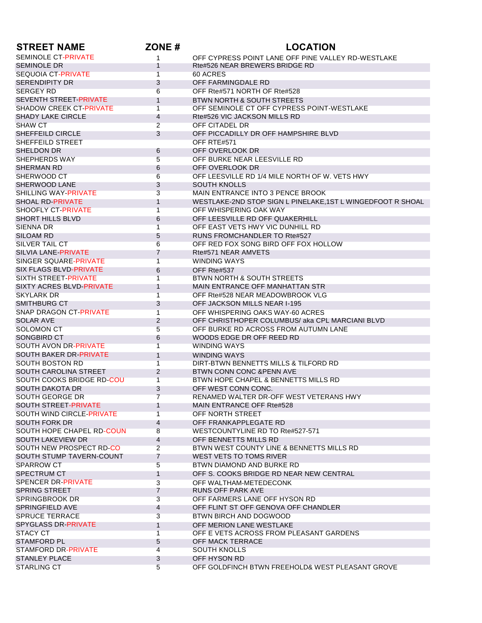| <b>STREET NAME</b>               | ZONE#           | <b>LOCATION</b>                                             |
|----------------------------------|-----------------|-------------------------------------------------------------|
| <b>SEMINOLE CT-PRIVATE</b>       | $\mathbf{1}$    | OFF CYPRESS POINT LANE OFF PINE VALLEY RD-WESTLAKE          |
| <b>SEMINOLE DR</b>               | 1               | Rte#526 NEAR BREWERS BRIDGE RD                              |
| <b>SEQUOIA CT-PRIVATE</b>        | $\mathbf{1}$    | 60 ACRES                                                    |
| <b>SERENDIPITY DR</b>            | 3               | OFF FARMINGDALE RD                                          |
| <b>SERGEY RD</b>                 | 6               | OFF Rte#571 NORTH OF Rte#528                                |
| <b>SEVENTH STREET-PRIVATE</b>    | $\mathbf{1}$    | <b>BTWN NORTH &amp; SOUTH STREETS</b>                       |
| <b>SHADOW CREEK CT-PRIVATE</b>   | $\overline{1}$  | OFF SEMINOLE CT OFF CYPRESS POINT-WESTLAKE                  |
| <b>SHADY LAKE CIRCLE</b>         | 4               | Rte#526 VIC JACKSON MILLS RD                                |
| <b>SHAW CT</b>                   | $\overline{2}$  | OFF CITADEL DR                                              |
| SHEFFEILD CIRCLE                 | 3               | OFF PICCADILLY DR OFF HAMPSHIRE BLVD                        |
| SHEFFEILD STREET                 |                 | OFF RTE#571                                                 |
| SHELDON DR                       | 6               | OFF OVERLOOK DR                                             |
| SHEPHERDS WAY                    | 5               | OFF BURKE NEAR LEESVILLE RD                                 |
| <b>SHERMAN RD</b>                | 6               | OFF OVERLOOK DR                                             |
| SHERWOOD CT                      | 6               | OFF LEESVILLE RD 1/4 MILE NORTH OF W. VETS HWY              |
| SHERWOOD LANE                    | 3               | <b>SOUTH KNOLLS</b>                                         |
| SHILLING WAY-PRIVATE             | 3               | MAIN ENTRANCE INTO 3 PENCE BROOK                            |
| <b>SHOAL RD-PRIVATE</b>          | $\mathbf{1}$    | WESTLAKE-2ND STOP SIGN L PINELAKE, 1ST L WINGEDFOOT R SHOAL |
| SHOOFLY CT-PRIVATE               | $\mathbf{1}$    | OFF WHISPERING OAK WAY                                      |
| <b>SHORT HILLS BLVD</b>          |                 | OFF LEESVILLE RD OFF QUAKERHILL                             |
| <b>SIENNA DR</b>                 | 6               | OFF EAST VETS HWY VIC DUNHILL RD                            |
|                                  | 1               |                                                             |
| SILOAM RD                        | 5               | <b>RUNS FROMCHANDLER TO Rte#527</b>                         |
| <b>SILVER TAIL CT</b>            | 6               | OFF RED FOX SONG BIRD OFF FOX HOLLOW                        |
| <b>SILVIA LANE-PRIVATE</b>       | 7               | Rte#571 NEAR AMVETS                                         |
| SINGER SQUARE-PRIVATE            | 1               | <b>WINDING WAYS</b>                                         |
| <b>SIX FLAGS BLVD-PRIVATE</b>    | 6               | OFF Rte#537                                                 |
| <b>SIXTH STREET-PRIVATE</b>      | $\overline{1}$  | BTWN NORTH & SOUTH STREETS                                  |
| SIXTY ACRES BLVD-PRIVATE         | $\mathbf{1}$    | MAIN ENTRANCE OFF MANHATTAN STR                             |
| <b>SKYLARK DR</b>                | $\mathbf{1}$    | OFF Rte#528 NEAR MEADOWBROOK VLG                            |
| SMITHBURG CT                     | 3               | OFF JACKSON MILLS NEAR I-195                                |
| <b>SNAP DRAGON CT-PRIVATE</b>    | 1               | OFF WHISPERING OAKS WAY-60 ACRES                            |
| <b>SOLAR AVE</b>                 | $\overline{2}$  | OFF CHRISTHOPER COLUMBUS/ aka CPL MARCIANI BLVD             |
| <b>SOLOMON CT</b>                | 5               | OFF BURKE RD ACROSS FROM AUTUMN LANE                        |
| SONGBIRD CT                      | 6               | WOODS EDGE DR OFF REED RD                                   |
| <b>SOUTH AVON DR-PRIVATE</b>     | 1               | <b>WINDING WAYS</b>                                         |
| SOUTH BAKER DR-PRIVATE           | $\mathbf{1}$    | <b>WINDING WAYS</b>                                         |
| <b>SOUTH BOSTON RD</b>           | $\overline{1}$  | DIRT-BTWN BENNETTS MILLS & TILFORD RD                       |
| SOUTH CAROLINA STREET            | $\overline{2}$  | BTWN CONN CONC & PENN AVE                                   |
| SOUTH COOKS BRIDGE RD-COU        | $\mathbf{1}$    | BTWN HOPE CHAPEL & BENNETTS MILLS RD                        |
| SOUTH DAKOTA DR                  | 3               | OFF WEST CONN CONC.                                         |
| <b>SOUTH GEORGE DR</b>           | $\overline{7}$  | RENAMED WALTER DR-OFF WEST VETERANS HWY                     |
| SOUTH STREET-PRIVATE             | $\mathbf{1}$    | <b>MAIN ENTRANCE OFF Rte#528</b>                            |
| <b>SOUTH WIND CIRCLE-PRIVATE</b> | $\overline{1}$  | OFF NORTH STREET                                            |
| SOUTH FORK DR                    | 4               | OFF FRANKAPPLEGATE RD                                       |
| SOUTH HOPE CHAPEL RD-COUN        | 8               | WESTCOUNTYLINE RD TO Rte#527-571                            |
| SOUTH LAKEVIEW DR                | 4               | OFF BENNETTS MILLS RD                                       |
| SOUTH NEW PROSPECT RD-CO         | $\overline{2}$  | BTWN WEST COUNTY LINE & BENNETTS MILLS RD                   |
| SOUTH STUMP TAVERN-COUNT         | $\overline{7}$  | WEST VETS TO TOMS RIVER                                     |
| <b>SPARROW CT</b>                | $5\overline{)}$ | BTWN DIAMOND AND BURKE RD                                   |
| <b>SPECTRUM CT</b>               | $\mathbf{1}$    | OFF S. COOKS BRIDGE RD NEAR NEW CENTRAL                     |
| SPENCER DR-PRIVATE               |                 | OFF WALTHAM-METEDECONK                                      |
| <b>SPRING STREET</b>             | 3<br>7          | RUNS OFF PARK AVE                                           |
| <b>SPRINGBROOK DR</b>            | 3               | OFF FARMERS LANE OFF HYSON RD                               |
|                                  |                 |                                                             |
| SPRINGFIELD AVE                  | 4               | OFF FLINT ST OFF GENOVA OFF CHANDLER                        |
| <b>SPRUCE TERRACE</b>            | 3               | BTWN BIRCH AND DOGWOOD                                      |
| <b>SPYGLASS DR-PRIVATE</b>       | $\mathbf{1}$    | OFF MERION LANE WESTLAKE                                    |
| <b>STACY CT</b>                  | $\mathbf{1}$    | OFF E VETS ACROSS FROM PLEASANT GARDENS                     |
| <b>STAMFORD PL</b>               | 5               | OFF MACK TERRACE                                            |
| STAMFORD DR-PRIVATE              | $\overline{4}$  | <b>SOUTH KNOLLS</b>                                         |
| <b>STANLEY PLACE</b>             | 3               | OFF HYSON RD                                                |
| <b>STARLING CT</b>               | $5\overline{)}$ | OFF GOLDFINCH BTWN FREEHOLD& WEST PLEASANT GROVE            |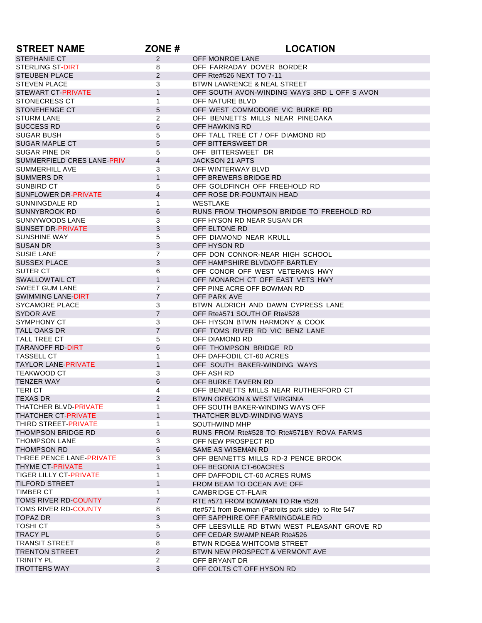| <b>STREET NAME</b>                       | ZONE#                        | <b>LOCATION</b>                                                 |
|------------------------------------------|------------------------------|-----------------------------------------------------------------|
| <b>STEPHANIE CT</b>                      | $\overline{2}$               | OFF MONROE LANE                                                 |
| STERLING ST-DIRT                         | 8                            | OFF FARRADAY DOVER BORDER                                       |
| <b>STEUBEN PLACE</b>                     | 2                            | OFF Rte#526 NEXT TO 7-11                                        |
| <b>STEVEN PLACE</b>                      | 3                            | BTWN LAWRENCE & NEAL STREET                                     |
| <b>STEWART CT-PRIVATE</b>                | 1                            | OFF SOUTH AVON-WINDING WAYS 3RD L OFF S AVON                    |
| <b>STONECRESS CT</b>                     | $\mathbf{1}$                 | OFF NATURE BLVD                                                 |
| STONEHENGE CT                            | 5                            | OFF WEST COMMODORE VIC BURKE RD                                 |
| <b>STURM LANE</b>                        | $\overline{2}$               | OFF BENNETTS MILLS NEAR PINEOAKA                                |
| <b>SUCCESS RD</b>                        | 6                            | OFF HAWKINS RD                                                  |
| <b>SUGAR BUSH</b>                        | 5                            | OFF TALL TREE CT / OFF DIAMOND RD                               |
| <b>SUGAR MAPLE CT</b>                    | 5                            | OFF BITTERSWEET DR                                              |
| SUGAR PINE DR                            | 5                            | OFF BITTERSWEET DR                                              |
| SUMMERFIELD CRES LANE-PRIV               | $\overline{4}$               | <b>JACKSON 21 APTS</b>                                          |
| <b>SUMMERHILL AVE</b>                    | 3                            | OFF WINTERWAY BLVD                                              |
| <b>SUMMERS DR</b>                        | $\mathbf{1}$                 | OFF BREWERS BRIDGE RD                                           |
| SUNBIRD CT                               | 5                            | OFF GOLDFINCH OFF FREEHOLD RD                                   |
| SUNFLOWER DR-PRIVATE                     | $\overline{4}$               | OFF ROSE DR-FOUNTAIN HEAD                                       |
| SUNNINGDALE RD                           | 1                            | WESTLAKE                                                        |
| <b>SUNNYBROOK RD</b>                     | 6                            | RUNS FROM THOMPSON BRIDGE TO FREEHOLD RD                        |
| <b>SUNNYWOODS LANE</b>                   | 3                            | OFF HYSON RD NEAR SUSAN DR                                      |
| <b>SUNSET DR-PRIVATE</b>                 | 3                            | OFF ELTONE RD                                                   |
| SUNSHINE WAY                             | 5                            | OFF DIAMOND NEAR KRULL                                          |
| <b>SUSAN DR</b>                          | 3                            | OFF HYSON RD                                                    |
| <b>SUSIE LANE</b>                        | $\overline{7}$               | OFF DON CONNOR-NEAR HIGH SCHOOL                                 |
| <b>SUSSEX PLACE</b>                      | 3                            | OFF HAMPSHIRE BLVD/OFF BARTLEY                                  |
| SUTER CT                                 | 6                            | OFF CONOR OFF WEST VETERANS HWY                                 |
| SWALLOWTAIL CT                           | $\mathbf{1}$                 | OFF MONARCH CT OFF EAST VETS HWY                                |
| <b>SWEET GUM LANE</b>                    | $\overline{7}$               | OFF PINE ACRE OFF BOWMAN RD                                     |
| <b>SWIMMING LANE-DIRT</b>                | $\overline{7}$               | OFF PARK AVE                                                    |
| SYCAMORE PLACE                           | 3                            | BTWN ALDRICH AND DAWN CYPRESS LANE                              |
| SYDOR AVE                                | $\overline{7}$               | OFF Rte#571 SOUTH OF Rte#528                                    |
| SYMPHONY CT                              | 3                            | OFF HYSON BTWN HARMONY & COOK                                   |
| TALL OAKS DR                             | $\overline{7}$               | OFF TOMS RIVER RD VIC BENZ LANE                                 |
| TALL TREE CT                             | 5                            | OFF DIAMOND RD                                                  |
| <b>TARANOFF RD-DIRT</b>                  | 6                            | OFF THOMPSON BRIDGE RD<br>OFF DAFFODIL CT-60 ACRES              |
| TASSELL CT<br><b>TAYLOR LANE-PRIVATE</b> | $\mathbf{1}$<br>$\mathbf{1}$ |                                                                 |
| TEAKWOOD CT                              |                              | OFF SOUTH BAKER-WINDING WAYS                                    |
| <b>TENZER WAY</b>                        | 3<br>6                       | OFF ASH RD<br>OFF BURKE TAVERN RD                               |
| TERI CT                                  | 4                            | OFF BENNETTS MILLS NEAR RUTHERFORD CT                           |
|                                          | 2                            |                                                                 |
| TEXAS DR<br>THATCHER BLVD-PRIVATE        | 1                            | BTWN OREGON & WEST VIRGINIA<br>OFF SOUTH BAKER-WINDING WAYS OFF |
| <b>THATCHER CT-PRIVATE</b>               | $\mathbf{1}$                 | THATCHER BLVD-WINDING WAYS                                      |
| THIRD STREET-PRIVATE                     | 1                            | SOUTHWIND MHP                                                   |
| THOMPSON BRIDGE RD                       | 6                            | RUNS FROM Rte#528 TO Rte#571BY ROVA FARMS                       |
| <b>THOMPSON LANE</b>                     | 3                            | OFF NEW PROSPECT RD                                             |
| <b>THOMPSON RD</b>                       | 6                            | SAME AS WISEMAN RD                                              |
| THREE PENCE LANE-PRIVATE                 | 3                            | OFF BENNETTS MILLS RD-3 PENCE BROOK                             |
| THYME CT-PRIVATE                         | $\mathbf{1}$                 | OFF BEGONIA CT-60ACRES                                          |
| <b>TIGER LILLY CT-PRIVATE</b>            | 1                            | OFF DAFFODIL CT-60 ACRES RUMS                                   |
| <b>TILFORD STREET</b>                    | 1                            | FROM BEAM TO OCEAN AVE OFF                                      |
| <b>TIMBER CT</b>                         | $\mathbf{1}$                 | <b>CAMBRIDGE CT-FLAIR</b>                                       |
| <b>TOMS RIVER RD-COUNTY</b>              | $\overline{7}$               | RTE #571 FROM BOWMAN TO Rte #528                                |
| TOMS RIVER RD-COUNTY                     | 8                            | rte#571 from Bowman (Patroits park side) to Rte 547             |
| <b>TOPAZ DR</b>                          | $\mathfrak{S}$               | OFF SAPPHIRE OFF FARMINGDALE RD                                 |
| <b>TOSHI CT</b>                          | 5                            | OFF LEESVILLE RD BTWN WEST PLEASANT GROVE RD                    |
| <b>TRACY PL</b>                          | 5                            | OFF CEDAR SWAMP NEAR Rte#526                                    |
| <b>TRANSIT STREET</b>                    | 8                            | <b>BTWN RIDGE&amp; WHITCOMB STREET</b>                          |
| <b>TRENTON STREET</b>                    | $\overline{2}$               | BTWN NEW PROSPECT & VERMONT AVE                                 |
| <b>TRINITY PL</b>                        | $\overline{2}$               | OFF BRYANT DR                                                   |
| <b>TROTTERS WAY</b>                      | 3                            | OFF COLTS CT OFF HYSON RD                                       |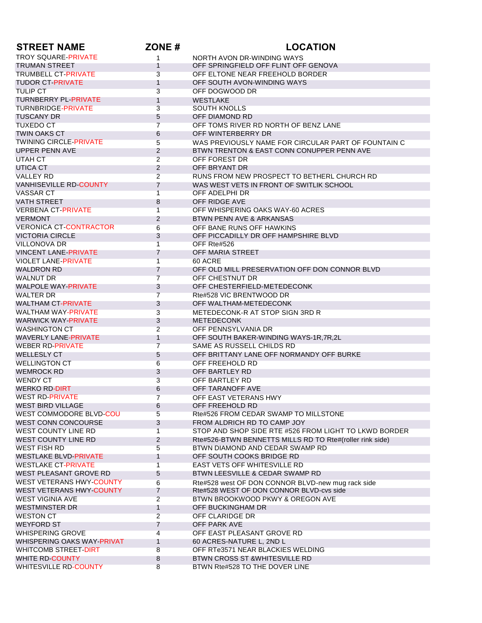| <b>STREET NAME</b>                             | ZONE#          | <b>LOCATION</b>                                                    |
|------------------------------------------------|----------------|--------------------------------------------------------------------|
| <b>TROY SQUARE-PRIVATE</b>                     | 1              | NORTH AVON DR-WINDING WAYS                                         |
| <b>TRUMAN STREET</b>                           | $\mathbf{1}$   | OFF SPRINGFIELD OFF FLINT OFF GENOVA                               |
| <b>TRUMBELL CT-PRIVATE</b>                     | 3              | OFF ELTONE NEAR FREEHOLD BORDER                                    |
| <b>TUDOR CT-PRIVATE</b>                        | $\mathbf{1}$   | OFF SOUTH AVON-WINDING WAYS                                        |
| <b>TULIP CT</b>                                | 3              | OFF DOGWOOD DR                                                     |
| <b>TURNBERRY PL-PRIVATE</b>                    | $\mathbf{1}$   | <b>WESTLAKE</b>                                                    |
| <b>TURNBRIDGE-PRIVATE</b>                      | 3              | <b>SOUTH KNOLLS</b>                                                |
| <b>TUSCANY DR</b>                              | 5              | OFF DIAMOND RD                                                     |
| <b>TUXEDO CT</b>                               | $\overline{7}$ | OFF TOMS RIVER RD NORTH OF BENZ LANE                               |
| <b>TWIN OAKS CT</b>                            | 6              | OFF WINTERBERRY DR                                                 |
| <b>TWINING CIRCLE-PRIVATE</b>                  | 5              | WAS PREVIOUSLY NAME FOR CIRCULAR PART OF FOUNTAIN C                |
| <b>UPPER PENN AVE</b>                          | $\overline{2}$ | BTWN TRENTON & EAST CONN CONUPPER PENN AVE                         |
| UTAH CT                                        | $\overline{2}$ | OFF FOREST DR                                                      |
| UTICA CT                                       | 2              | OFF BRYANT DR                                                      |
| <b>VALLEY RD</b>                               | $\overline{2}$ | RUNS FROM NEW PROSPECT TO BETHERL CHURCH RD                        |
| <b>VANHISEVILLE RD-COUNTY</b>                  | $\overline{7}$ | WAS WEST VETS IN FRONT OF SWITLIK SCHOOL                           |
| <b>VASSAR CT</b>                               | $\overline{1}$ | OFF ADELPHI DR                                                     |
| <b>VATH STREET</b>                             | 8              | OFF RIDGE AVE                                                      |
| <b>VERBENA CT-PRIVATE</b>                      | 1              | OFF WHISPERING OAKS WAY-60 ACRES                                   |
| <b>VERMONT</b>                                 | $\overline{2}$ | BTWN PENN AVE & ARKANSAS                                           |
| <b>VERONICA CT-CONTRACTOR</b>                  | 6              | OFF BANE RUNS OFF HAWKINS                                          |
| <b>VICTORIA CIRCLE</b>                         | 3              | OFF PICCADILLY DR OFF HAMPSHIRE BLVD                               |
| <b>VILLONOVA DR</b>                            | $\overline{1}$ | OFF Rte#526                                                        |
| <b>VINCENT LANE-PRIVATE</b>                    | $\overline{7}$ | OFF MARIA STREET                                                   |
| <b>VIOLET LANE-PRIVATE</b>                     | 1              | 60 ACRE                                                            |
| <b>WALDRON RD</b>                              | 7              | OFF OLD MILL PRESERVATION OFF DON CONNOR BLVD                      |
| <b>WALNUT DR</b>                               | $\overline{7}$ | OFF CHESTNUT DR                                                    |
| <b>WALPOLE WAY-PRIVATE</b>                     | 3              | OFF CHESTERFIELD-METEDECONK                                        |
| WALTER DR                                      | $\overline{7}$ | Rte#528 VIC BRENTWOOD DR                                           |
| <b>WALTHAM CT-PRIVATE</b>                      | 3              | OFF WALTHAM-METEDECONK                                             |
| WALTHAM WAY-PRIVATE                            | 3              | METEDECONK-R AT STOP SIGN 3RD R                                    |
| <b>WARWICK WAY-PRIVATE</b>                     | 3              | <b>METEDECONK</b>                                                  |
| <b>WASHINGTON CT</b>                           | $\overline{2}$ | OFF PENNSYLVANIA DR                                                |
| <b>WAVERLY LANE-PRIVATE</b>                    | $\mathbf{1}$   | OFF SOUTH BAKER-WINDING WAYS-1R,7R,2L                              |
| <b>WEBER RD-PRIVATE</b>                        | $\overline{7}$ | SAME AS RUSSELL CHILDS RD                                          |
| <b>WELLESLY CT</b>                             | 5              | OFF BRITTANY LANE OFF NORMANDY OFF BURKE                           |
| <b>WELLINGTON CT</b>                           | 6              | OFF FREEHOLD RD                                                    |
| <b>WEMROCK RD</b>                              | 3              | OFF BARTLEY RD                                                     |
| <b>WENDY CT</b>                                | 3              | OFF BARTLEY RD                                                     |
| <b>WERKO RD-DIRT</b>                           | 6              | OFF TARANOFF AVE                                                   |
| <b>WEST RD-PRIVATE</b>                         | $\overline{7}$ | OFF EAST VETERANS HWY                                              |
| WEST BIRD VILLAGE                              | 6              | OFF FREEHOLD RD                                                    |
| WEST COMMODORE BLVD-COU                        | 5              | Rte#526 FROM CEDAR SWAMP TO MILLSTONE                              |
| WEST CONN CONCOURSE                            | 3              | FROM ALDRICH RD TO CAMP JOY                                        |
| WEST COUNTY LINE RD                            | $\mathbf{1}$   | STOP AND SHOP SIDE RTE #526 FROM LIGHT TO LKWD BORDER              |
| <b>WEST COUNTY LINE RD</b>                     | 2              | Rte#526-BTWN BENNETTS MILLS RD TO Rte#(roller rink side)           |
| <b>WEST FISH RD</b>                            | 5              | BTWN DIAMOND AND CEDAR SWAMP RD                                    |
| <b>WESTLAKE BLVD-PRIVATE</b>                   | $\mathbf{1}$   | OFF SOUTH COOKS BRIDGE RD                                          |
| <b>WESTLAKE CT-PRIVATE</b>                     | $\overline{1}$ | <b>EAST VETS OFF WHITESVILLE RD</b>                                |
| WEST PLEASANT GROVE RD                         | 5              | BTWN LEESVILLE & CEDAR SWAMP RD                                    |
| WEST VETERANS HWY-COUNTY                       | 6              | Rte#528 west OF DON CONNOR BLVD-new mug rack side                  |
| <b>WEST VETERANS HWY-COUNTY</b>                | 7              | Rte#528 WEST OF DON CONNOR BLVD-cvs side                           |
| <b>WEST VIGINIA AVE</b>                        | $\overline{2}$ | BTWN BROOKWOOD PKWY & OREGON AVE                                   |
| <b>WESTMINSTER DR</b>                          | $\mathbf{1}$   | OFF BUCKINGHAM DR                                                  |
| <b>WESTON CT</b>                               | $\overline{2}$ | OFF CLARIDGE DR                                                    |
| <b>WEYFORD ST</b>                              | $\overline{7}$ | OFF PARK AVE                                                       |
| <b>WHISPERING GROVE</b>                        | 4              | OFF EAST PLEASANT GROVE RD                                         |
| WHISPERING OAKS WAY-PRIVAT                     | $\mathbf{1}$   | 60 ACRES-NATURE L, 2ND L                                           |
| WHITCOMB STREET-DIRT<br><b>WHITE RD-COUNTY</b> | 8              | OFF RTe3571 NEAR BLACKIES WELDING<br>BTWN CROSS ST &WHITESVILLE RD |
| <b>WHITESVILLE RD-COUNTY</b>                   | 8              | BTWN Rte#528 TO THE DOVER LINE                                     |
|                                                | 8              |                                                                    |